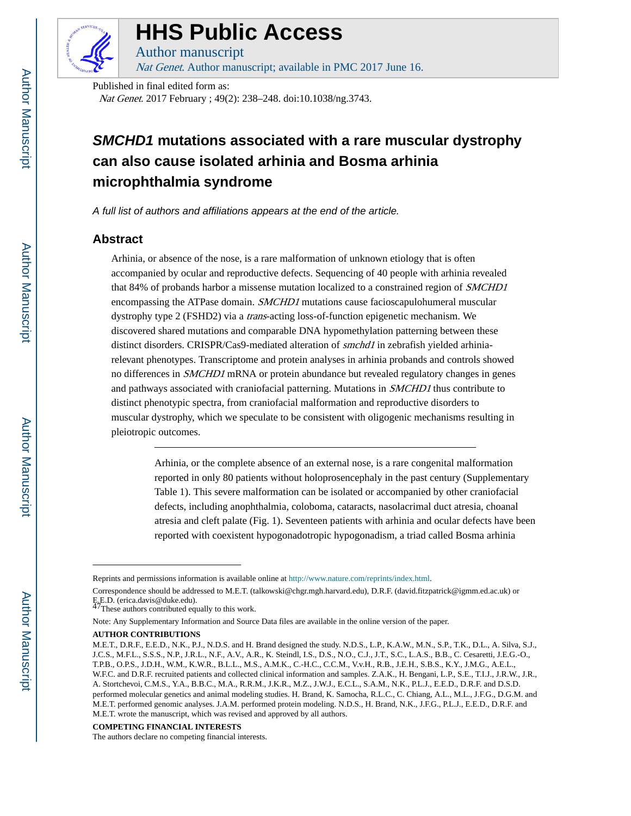

# **HHS Public Access**

Author manuscript Nat Genet. Author manuscript; available in PMC 2017 June 16.

Published in final edited form as: Nat Genet. 2017 February ; 49(2): 238–248. doi:10.1038/ng.3743.

## **SMCHD1 mutations associated with a rare muscular dystrophy can also cause isolated arhinia and Bosma arhinia microphthalmia syndrome**

A full list of authors and affiliations appears at the end of the article.

## **Abstract**

Arhinia, or absence of the nose, is a rare malformation of unknown etiology that is often accompanied by ocular and reproductive defects. Sequencing of 40 people with arhinia revealed that 84% of probands harbor a missense mutation localized to a constrained region of SMCHD1 encompassing the ATPase domain. *SMCHD1* mutations cause facioscapulohumeral muscular dystrophy type 2 (FSHD2) via a trans-acting loss-of-function epigenetic mechanism. We discovered shared mutations and comparable DNA hypomethylation patterning between these distinct disorders. CRISPR/Cas9-mediated alteration of smchd1 in zebrafish yielded arhiniarelevant phenotypes. Transcriptome and protein analyses in arhinia probands and controls showed no differences in SMCHD1 mRNA or protein abundance but revealed regulatory changes in genes and pathways associated with craniofacial patterning. Mutations in SMCHD1 thus contribute to distinct phenotypic spectra, from craniofacial malformation and reproductive disorders to muscular dystrophy, which we speculate to be consistent with oligogenic mechanisms resulting in pleiotropic outcomes.

> Arhinia, or the complete absence of an external nose, is a rare congenital malformation reported in only 80 patients without holoprosencephaly in the past century (Supplementary Table 1). This severe malformation can be isolated or accompanied by other craniofacial defects, including anophthalmia, coloboma, cataracts, nasolacrimal duct atresia, choanal atresia and cleft palate (Fig. 1). Seventeen patients with arhinia and ocular defects have been reported with coexistent hypogonadotropic hypogonadism, a triad called Bosma arhinia

#### **COMPETING FINANCIAL INTERESTS**

Reprints and permissions information is available online at<http://www.nature.com/reprints/index.html>.

Correspondence should be addressed to M.E.T. (talkowski@chgr.mgh.harvard.edu), D.R.F. (david.fitzpatrick@igmm.ed.ac.uk) or E.E.D. (erica.davis@duke.edu).<br><sup>47</sup>These authors contributed equally to this work.

Note: Any Supplementary Information and Source Data files are available in the online version of the paper.

**AUTHOR CONTRIBUTIONS**

M.E.T., D.R.F., E.E.D., N.K., P.J., N.D.S. and H. Brand designed the study. N.D.S., L.P., K.A.W., M.N., S.P., T.K., D.L., A. Silva, S.J., J.C.S., M.F.L., S.S.S., N.P., J.R.L., N.F., A.V., A.R., K. Steindl, I.S., D.S., N.O., C.J., J.T., S.C., L.A.S., B.B., C. Cesaretti, J.E.G.-O., T.P.B., O.P.S., J.D.H., W.M., K.W.R., B.L.L., M.S., A.M.K., C.-H.C., C.C.M., V.v.H., R.B., J.E.H., S.B.S., K.Y., J.M.G., A.E.L., W.F.C. and D.R.F. recruited patients and collected clinical information and samples. Z.A.K., H. Bengani, L.P., S.E., T.I.J., J.R.W., J.R., A. Stortchevoi, C.M.S., Y.A., B.B.C., M.A., R.R.M., J.K.R., M.Z., J.W.J., E.C.L., S.A.M., N.K., P.L.J., E.E.D., D.R.F. and D.S.D. performed molecular genetics and animal modeling studies. H. Brand, K. Samocha, R.L.C., C. Chiang, A.L., M.L., J.F.G., D.G.M. and M.E.T. performed genomic analyses. J.A.M. performed protein modeling. N.D.S., H. Brand, N.K., J.F.G., P.L.J., E.E.D., D.R.F. and M.E.T. wrote the manuscript, which was revised and approved by all authors.

The authors declare no competing financial interests.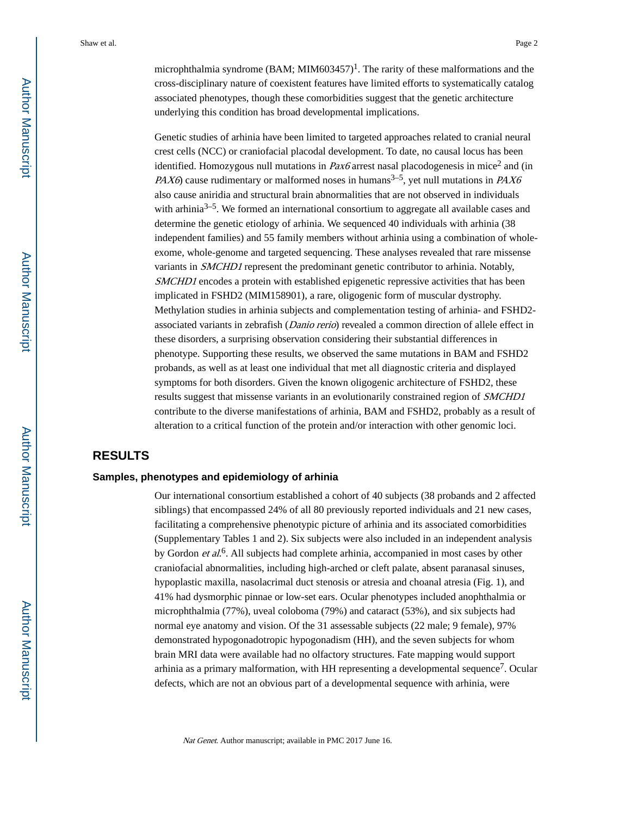microphthalmia syndrome (BAM; MIM603457)<sup>1</sup>. The rarity of these malformations and the cross-disciplinary nature of coexistent features have limited efforts to systematically catalog associated phenotypes, though these comorbidities suggest that the genetic architecture underlying this condition has broad developmental implications.

Genetic studies of arhinia have been limited to targeted approaches related to cranial neural crest cells (NCC) or craniofacial placodal development. To date, no causal locus has been identified. Homozygous null mutations in  $PaX6$  arrest nasal placodogenesis in mice<sup>2</sup> and (in PAX6) cause rudimentary or malformed noses in humans<sup>3–5</sup>, yet null mutations in PAX6 also cause aniridia and structural brain abnormalities that are not observed in individuals with arhinia<sup>3–5</sup>. We formed an international consortium to aggregate all available cases and determine the genetic etiology of arhinia. We sequenced 40 individuals with arhinia (38 independent families) and 55 family members without arhinia using a combination of wholeexome, whole-genome and targeted sequencing. These analyses revealed that rare missense variants in SMCHD1 represent the predominant genetic contributor to arhinia. Notably, SMCHD1 encodes a protein with established epigenetic repressive activities that has been implicated in FSHD2 (MIM158901), a rare, oligogenic form of muscular dystrophy. Methylation studies in arhinia subjects and complementation testing of arhinia- and FSHD2 associated variants in zebrafish (*Danio rerio*) revealed a common direction of allele effect in these disorders, a surprising observation considering their substantial differences in phenotype. Supporting these results, we observed the same mutations in BAM and FSHD2 probands, as well as at least one individual that met all diagnostic criteria and displayed symptoms for both disorders. Given the known oligogenic architecture of FSHD2, these results suggest that missense variants in an evolutionarily constrained region of SMCHD1 contribute to the diverse manifestations of arhinia, BAM and FSHD2, probably as a result of alteration to a critical function of the protein and/or interaction with other genomic loci.

## **RESULTS**

#### **Samples, phenotypes and epidemiology of arhinia**

Our international consortium established a cohort of 40 subjects (38 probands and 2 affected siblings) that encompassed 24% of all 80 previously reported individuals and 21 new cases, facilitating a comprehensive phenotypic picture of arhinia and its associated comorbidities (Supplementary Tables 1 and 2). Six subjects were also included in an independent analysis by Gordon et al.<sup>6</sup>. All subjects had complete arhinia, accompanied in most cases by other craniofacial abnormalities, including high-arched or cleft palate, absent paranasal sinuses, hypoplastic maxilla, nasolacrimal duct stenosis or atresia and choanal atresia (Fig. 1), and 41% had dysmorphic pinnae or low-set ears. Ocular phenotypes included anophthalmia or microphthalmia (77%), uveal coloboma (79%) and cataract (53%), and six subjects had normal eye anatomy and vision. Of the 31 assessable subjects (22 male; 9 female), 97% demonstrated hypogonadotropic hypogonadism (HH), and the seven subjects for whom brain MRI data were available had no olfactory structures. Fate mapping would support arhinia as a primary malformation, with HH representing a developmental sequence<sup>7</sup>. Ocular defects, which are not an obvious part of a developmental sequence with arhinia, were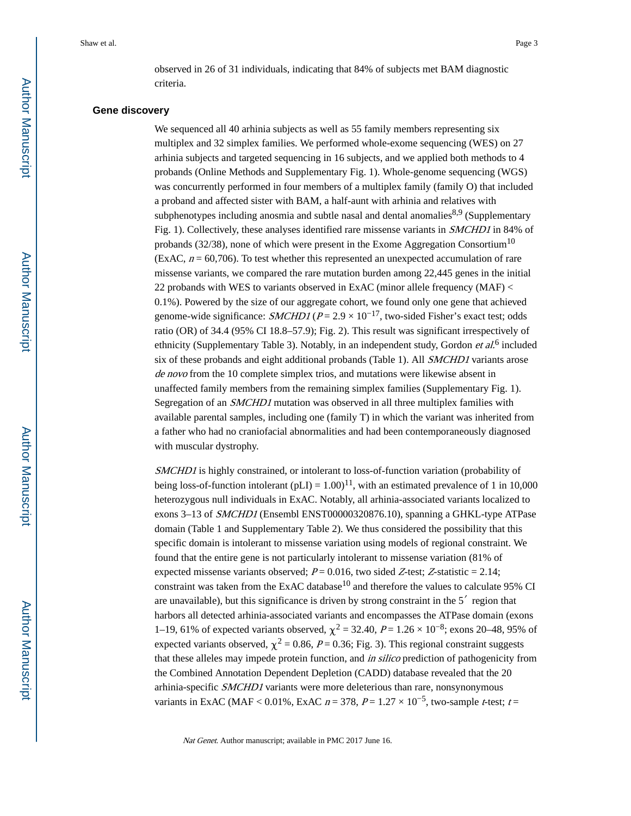observed in 26 of 31 individuals, indicating that 84% of subjects met BAM diagnostic criteria.

## **Gene discovery**

We sequenced all 40 arhinia subjects as well as 55 family members representing six multiplex and 32 simplex families. We performed whole-exome sequencing (WES) on 27 arhinia subjects and targeted sequencing in 16 subjects, and we applied both methods to 4 probands (Online Methods and Supplementary Fig. 1). Whole-genome sequencing (WGS) was concurrently performed in four members of a multiplex family (family O) that included a proband and affected sister with BAM, a half-aunt with arhinia and relatives with subphenotypes including anosmia and subtle nasal and dental anomalies<sup>8,9</sup> (Supplementary Fig. 1). Collectively, these analyses identified rare missense variants in *SMCHD1* in 84% of probands (32/38), none of which were present in the Exome Aggregation Consortium<sup>10</sup> (ExAC,  $n = 60,706$ ). To test whether this represented an unexpected accumulation of rare missense variants, we compared the rare mutation burden among 22,445 genes in the initial 22 probands with WES to variants observed in ExAC (minor allele frequency (MAF) < 0.1%). Powered by the size of our aggregate cohort, we found only one gene that achieved genome-wide significance:  $SMCHDI (P = 2.9 \times 10^{-17}$ , two-sided Fisher's exact test; odds ratio (OR) of 34.4 (95% CI 18.8–57.9); Fig. 2). This result was significant irrespectively of ethnicity (Supplementary Table 3). Notably, in an independent study, Gordon et al.<sup>6</sup> included six of these probands and eight additional probands (Table 1). All *SMCHD1* variants arose de novo from the 10 complete simplex trios, and mutations were likewise absent in unaffected family members from the remaining simplex families (Supplementary Fig. 1). Segregation of an SMCHD1 mutation was observed in all three multiplex families with available parental samples, including one (family T) in which the variant was inherited from a father who had no craniofacial abnormalities and had been contemporaneously diagnosed with muscular dystrophy.

SMCHD1 is highly constrained, or intolerant to loss-of-function variation (probability of being loss-of-function intolerant  $(pLI) = 1.00$ <sup>11</sup>, with an estimated prevalence of 1 in 10,000 heterozygous null individuals in ExAC. Notably, all arhinia-associated variants localized to exons 3–13 of SMCHD1 (Ensembl ENST00000320876.10), spanning a GHKL-type ATPase domain (Table 1 and Supplementary Table 2). We thus considered the possibility that this specific domain is intolerant to missense variation using models of regional constraint. We found that the entire gene is not particularly intolerant to missense variation (81% of expected missense variants observed;  $P = 0.016$ , two sided Z-test; Z-statistic = 2.14; constraint was taken from the ExAC database<sup>10</sup> and therefore the values to calculate 95% CI are unavailable), but this significance is driven by strong constraint in the 5′ region that harbors all detected arhinia-associated variants and encompasses the ATPase domain (exons 1–19, 61% of expected variants observed,  $\chi^2$  = 32.40, P = 1.26 × 10<sup>-8</sup>; exons 20–48, 95% of expected variants observed,  $\chi^2$  = 0.86, P = 0.36; Fig. 3). This regional constraint suggests that these alleles may impede protein function, and *in silico* prediction of pathogenicity from the Combined Annotation Dependent Depletion (CADD) database revealed that the 20 arhinia-specific SMCHD1 variants were more deleterious than rare, nonsynonymous variants in ExAC (MAF < 0.01%, ExAC  $n = 378$ ,  $P = 1.27 \times 10^{-5}$ , two-sample t-test; t =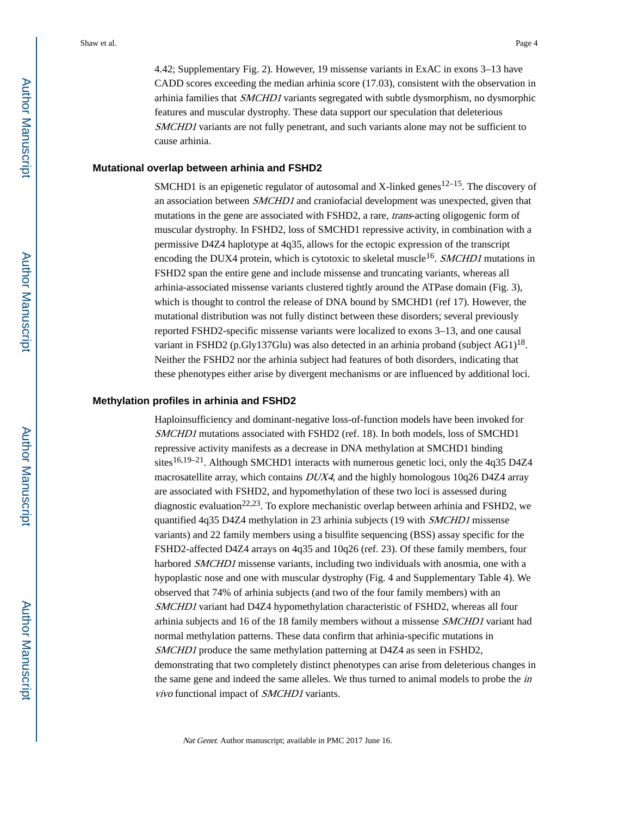4.42; Supplementary Fig. 2). However, 19 missense variants in ExAC in exons 3–13 have CADD scores exceeding the median arhinia score (17.03), consistent with the observation in arhinia families that SMCHD1 variants segregated with subtle dysmorphism, no dysmorphic features and muscular dystrophy. These data support our speculation that deleterious SMCHD1 variants are not fully penetrant, and such variants alone may not be sufficient to cause arhinia.

#### **Mutational overlap between arhinia and FSHD2**

SMCHD1 is an epigenetic regulator of autosomal and X-linked genes<sup>12–15</sup>. The discovery of an association between SMCHD1 and craniofacial development was unexpected, given that mutations in the gene are associated with FSHD2, a rare, *trans*-acting oligogenic form of muscular dystrophy. In FSHD2, loss of SMCHD1 repressive activity, in combination with a permissive D4Z4 haplotype at 4q35, allows for the ectopic expression of the transcript encoding the DUX4 protein, which is cytotoxic to skeletal muscle<sup>16</sup>. SMCHD1 mutations in FSHD2 span the entire gene and include missense and truncating variants, whereas all arhinia-associated missense variants clustered tightly around the ATPase domain (Fig. 3), which is thought to control the release of DNA bound by SMCHD1 (ref 17). However, the mutational distribution was not fully distinct between these disorders; several previously reported FSHD2-specific missense variants were localized to exons 3–13, and one causal variant in FSHD2 (p.Gly137Glu) was also detected in an arhinia proband (subject  $AG1$ )<sup>18</sup>. Neither the FSHD2 nor the arhinia subject had features of both disorders, indicating that these phenotypes either arise by divergent mechanisms or are influenced by additional loci.

#### **Methylation profiles in arhinia and FSHD2**

Haploinsufficiency and dominant-negative loss-of-function models have been invoked for SMCHD1 mutations associated with FSHD2 (ref. 18). In both models, loss of SMCHD1 repressive activity manifests as a decrease in DNA methylation at SMCHD1 binding sites<sup>16,19–21</sup>. Although SMCHD1 interacts with numerous genetic loci, only the 4q35 D4Z4 macrosatellite array, which contains  $DUX4$ , and the highly homologous 10q26 D4Z4 array are associated with FSHD2, and hypomethylation of these two loci is assessed during diagnostic evaluation<sup>22,23</sup>. To explore mechanistic overlap between arhinia and FSHD2, we quantified 4q35 D4Z4 methylation in 23 arhinia subjects (19 with SMCHD1 missense variants) and 22 family members using a bisulfite sequencing (BSS) assay specific for the FSHD2-affected D4Z4 arrays on 4q35 and 10q26 (ref. 23). Of these family members, four harbored *SMCHD1* missense variants, including two individuals with anosmia, one with a hypoplastic nose and one with muscular dystrophy (Fig. 4 and Supplementary Table 4). We observed that 74% of arhinia subjects (and two of the four family members) with an SMCHD1 variant had D4Z4 hypomethylation characteristic of FSHD2, whereas all four arhinia subjects and 16 of the 18 family members without a missense SMCHD1 variant had normal methylation patterns. These data confirm that arhinia-specific mutations in SMCHD1 produce the same methylation patterning at D4Z4 as seen in FSHD2, demonstrating that two completely distinct phenotypes can arise from deleterious changes in the same gene and indeed the same alleles. We thus turned to animal models to probe the in vivo functional impact of SMCHD1 variants.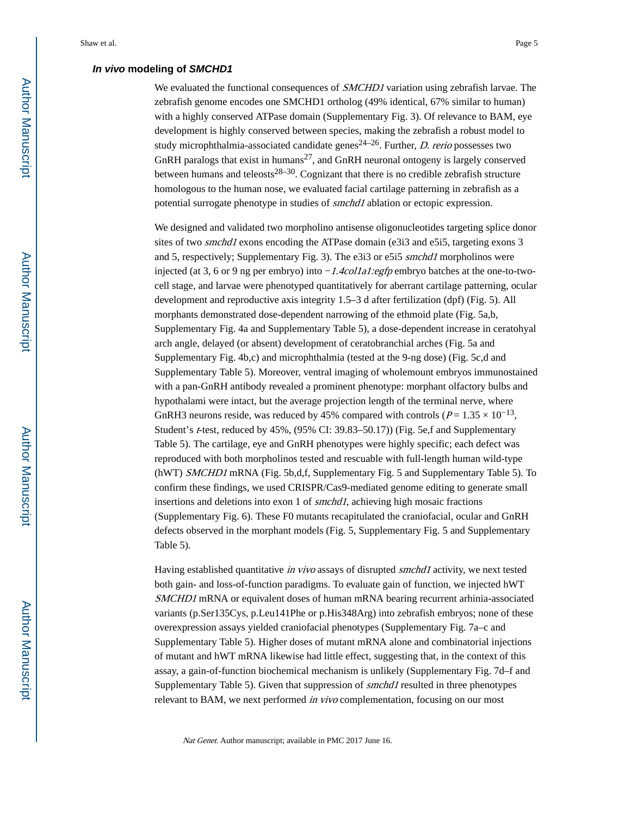## **In vivo modeling of SMCHD1**

We evaluated the functional consequences of *SMCHD1* variation using zebrafish larvae. The zebrafish genome encodes one SMCHD1 ortholog (49% identical, 67% similar to human) with a highly conserved ATPase domain (Supplementary Fig. 3). Of relevance to BAM, eye development is highly conserved between species, making the zebrafish a robust model to study microphthalmia-associated candidate genes<sup>24–26</sup>. Further, *D. rerio* possesses two GnRH paralogs that exist in humans<sup>27</sup>, and GnRH neuronal ontogeny is largely conserved between humans and teleosts $28-30$ . Cognizant that there is no credible zebrafish structure homologous to the human nose, we evaluated facial cartilage patterning in zebrafish as a potential surrogate phenotype in studies of *smchd1* ablation or ectopic expression.

We designed and validated two morpholino antisense oligonucleotides targeting splice donor sites of two *smchd1* exons encoding the ATPase domain (e3i3 and e5i5, targeting exons 3 and 5, respectively; Supplementary Fig. 3). The e3i3 or e5i5 smchd1 morpholinos were injected (at 3, 6 or 9 ng per embryo) into −1.4col1a1:egfp embryo batches at the one-to-twocell stage, and larvae were phenotyped quantitatively for aberrant cartilage patterning, ocular development and reproductive axis integrity 1.5–3 d after fertilization (dpf) (Fig. 5). All morphants demonstrated dose-dependent narrowing of the ethmoid plate (Fig. 5a,b, Supplementary Fig. 4a and Supplementary Table 5), a dose-dependent increase in ceratohyal arch angle, delayed (or absent) development of ceratobranchial arches (Fig. 5a and Supplementary Fig. 4b,c) and microphthalmia (tested at the 9-ng dose) (Fig. 5c,d and Supplementary Table 5). Moreover, ventral imaging of wholemount embryos immunostained with a pan-GnRH antibody revealed a prominent phenotype: morphant olfactory bulbs and hypothalami were intact, but the average projection length of the terminal nerve, where GnRH3 neurons reside, was reduced by 45% compared with controls ( $P = 1.35 \times 10^{-13}$ , Student's t-test, reduced by 45%, (95% CI: 39.83–50.17)) (Fig. 5e,f and Supplementary Table 5). The cartilage, eye and GnRH phenotypes were highly specific; each defect was reproduced with both morpholinos tested and rescuable with full-length human wild-type (hWT) SMCHD1 mRNA (Fig. 5b,d,f, Supplementary Fig. 5 and Supplementary Table 5). To confirm these findings, we used CRISPR/Cas9-mediated genome editing to generate small insertions and deletions into exon 1 of *smchd1*, achieving high mosaic fractions (Supplementary Fig. 6). These F0 mutants recapitulated the craniofacial, ocular and GnRH defects observed in the morphant models (Fig. 5, Supplementary Fig. 5 and Supplementary Table 5).

Having established quantitative *in vivo* assays of disrupted *smchd1* activity, we next tested both gain- and loss-of-function paradigms. To evaluate gain of function, we injected hWT SMCHD1 mRNA or equivalent doses of human mRNA bearing recurrent arhinia-associated variants (p.Ser135Cys, p.Leu141Phe or p.His348Arg) into zebrafish embryos; none of these overexpression assays yielded craniofacial phenotypes (Supplementary Fig. 7a–c and Supplementary Table 5). Higher doses of mutant mRNA alone and combinatorial injections of mutant and hWT mRNA likewise had little effect, suggesting that, in the context of this assay, a gain-of-function biochemical mechanism is unlikely (Supplementary Fig. 7d–f and Supplementary Table 5). Given that suppression of smchd1 resulted in three phenotypes relevant to BAM, we next performed *in vivo* complementation, focusing on our most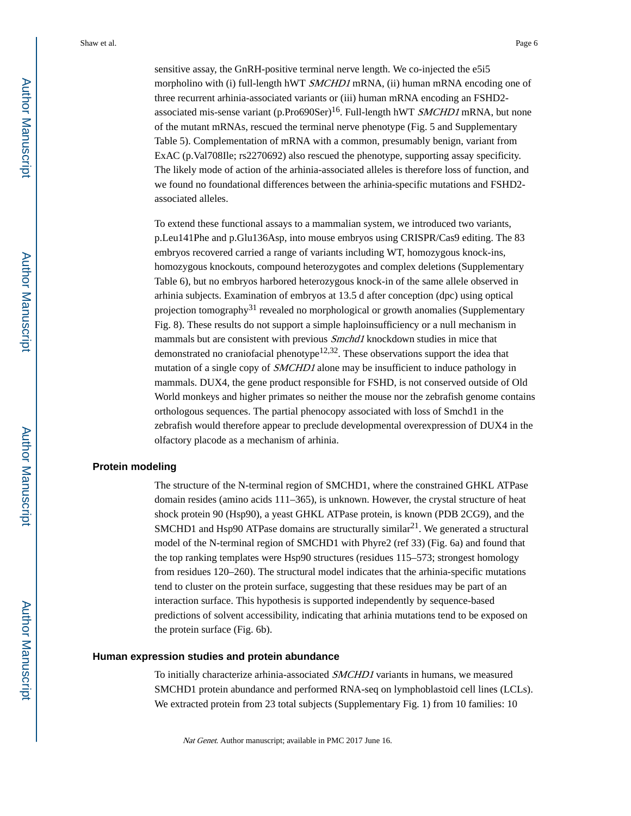sensitive assay, the GnRH-positive terminal nerve length. We co-injected the e5i5 morpholino with (i) full-length hWT *SMCHD1* mRNA, (ii) human mRNA encoding one of three recurrent arhinia-associated variants or (iii) human mRNA encoding an FSHD2 associated mis-sense variant (p.Pro690Ser)<sup>16</sup>. Full-length hWT *SMCHD1* mRNA, but none of the mutant mRNAs, rescued the terminal nerve phenotype (Fig. 5 and Supplementary Table 5). Complementation of mRNA with a common, presumably benign, variant from ExAC (p.Val708Ile; rs2270692) also rescued the phenotype, supporting assay specificity. The likely mode of action of the arhinia-associated alleles is therefore loss of function, and we found no foundational differences between the arhinia-specific mutations and FSHD2 associated alleles.

To extend these functional assays to a mammalian system, we introduced two variants, p.Leu141Phe and p.Glu136Asp, into mouse embryos using CRISPR/Cas9 editing. The 83 embryos recovered carried a range of variants including WT, homozygous knock-ins, homozygous knockouts, compound heterozygotes and complex deletions (Supplementary Table 6), but no embryos harbored heterozygous knock-in of the same allele observed in arhinia subjects. Examination of embryos at 13.5 d after conception (dpc) using optical projection tomography<sup>31</sup> revealed no morphological or growth anomalies (Supplementary Fig. 8). These results do not support a simple haploinsufficiency or a null mechanism in mammals but are consistent with previous Smchd1 knockdown studies in mice that demonstrated no craniofacial phenotype<sup>12,32</sup>. These observations support the idea that mutation of a single copy of SMCHD1 alone may be insufficient to induce pathology in mammals. DUX4, the gene product responsible for FSHD, is not conserved outside of Old World monkeys and higher primates so neither the mouse nor the zebrafish genome contains orthologous sequences. The partial phenocopy associated with loss of Smchd1 in the zebrafish would therefore appear to preclude developmental overexpression of DUX4 in the olfactory placode as a mechanism of arhinia.

## **Protein modeling**

The structure of the N-terminal region of SMCHD1, where the constrained GHKL ATPase domain resides (amino acids 111–365), is unknown. However, the crystal structure of heat shock protein 90 (Hsp90), a yeast GHKL ATPase protein, is known (PDB 2CG9), and the SMCHD1 and Hsp90 ATPase domains are structurally similar<sup>21</sup>. We generated a structural model of the N-terminal region of SMCHD1 with Phyre2 (ref 33) (Fig. 6a) and found that the top ranking templates were Hsp90 structures (residues 115–573; strongest homology from residues 120–260). The structural model indicates that the arhinia-specific mutations tend to cluster on the protein surface, suggesting that these residues may be part of an interaction surface. This hypothesis is supported independently by sequence-based predictions of solvent accessibility, indicating that arhinia mutations tend to be exposed on the protein surface (Fig. 6b).

## **Human expression studies and protein abundance**

To initially characterize arhinia-associated SMCHD1 variants in humans, we measured SMCHD1 protein abundance and performed RNA-seq on lymphoblastoid cell lines (LCLs). We extracted protein from 23 total subjects (Supplementary Fig. 1) from 10 families: 10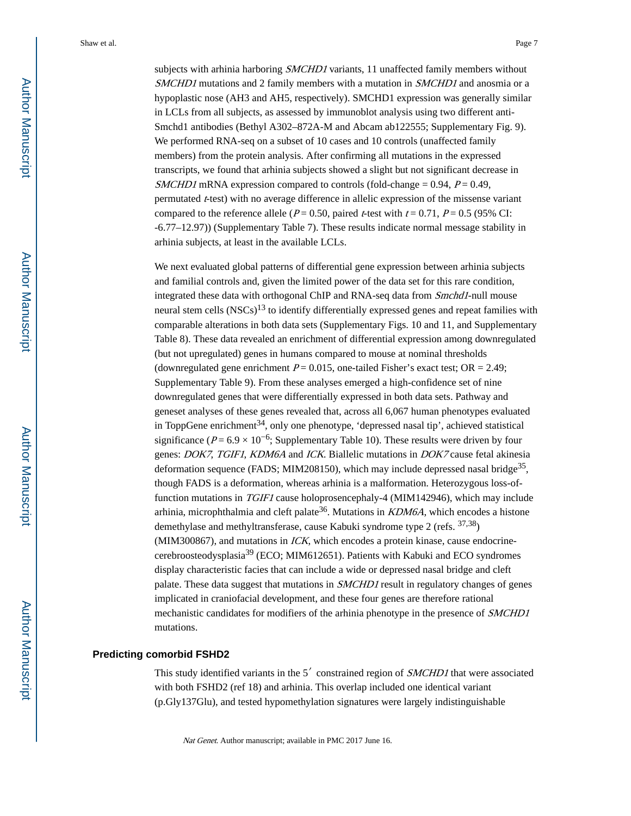subjects with arhinia harboring *SMCHD1* variants, 11 unaffected family members without SMCHD1 mutations and 2 family members with a mutation in SMCHD1 and anosmia or a hypoplastic nose (AH3 and AH5, respectively). SMCHD1 expression was generally similar in LCLs from all subjects, as assessed by immunoblot analysis using two different anti-Smchd1 antibodies (Bethyl A302–872A-M and Abcam ab122555; Supplementary Fig. 9). We performed RNA-seq on a subset of 10 cases and 10 controls (unaffected family members) from the protein analysis. After confirming all mutations in the expressed transcripts, we found that arhinia subjects showed a slight but not significant decrease in *SMCHD1* mRNA expression compared to controls (fold-change =  $0.94$ ,  $P = 0.49$ , permutated  $t$ -test) with no average difference in allelic expression of the missense variant compared to the reference allele ( $P = 0.50$ , paired t-test with  $t = 0.71$ ,  $P = 0.5$  (95% CI: -6.77–12.97)) (Supplementary Table 7). These results indicate normal message stability in arhinia subjects, at least in the available LCLs.

We next evaluated global patterns of differential gene expression between arhinia subjects and familial controls and, given the limited power of the data set for this rare condition, integrated these data with orthogonal ChIP and RNA-seq data from *Smchd1*-null mouse neural stem cells  $(NSCs)^{13}$  to identify differentially expressed genes and repeat families with comparable alterations in both data sets (Supplementary Figs. 10 and 11, and Supplementary Table 8). These data revealed an enrichment of differential expression among downregulated (but not upregulated) genes in humans compared to mouse at nominal thresholds (downregulated gene enrichment  $P = 0.015$ , one-tailed Fisher's exact test; OR = 2.49; Supplementary Table 9). From these analyses emerged a high-confidence set of nine downregulated genes that were differentially expressed in both data sets. Pathway and geneset analyses of these genes revealed that, across all 6,067 human phenotypes evaluated in ToppGene enrichment<sup>34</sup>, only one phenotype, 'depressed nasal tip', achieved statistical significance ( $P = 6.9 \times 10^{-6}$ ; Supplementary Table 10). These results were driven by four genes: DOK7, TGIF1, KDM6A and ICK. Biallelic mutations in DOK7 cause fetal akinesia deformation sequence (FADS; MIM208150), which may include depressed nasal bridge<sup>35</sup>, though FADS is a deformation, whereas arhinia is a malformation. Heterozygous loss-offunction mutations in TGIF1 cause holoprosencephaly-4 (MIM142946), which may include arhinia, microphthalmia and cleft palate<sup>36</sup>. Mutations in  $KDM6A$ , which encodes a histone demethylase and methyltransferase, cause Kabuki syndrome type 2 (refs. 37,38) (MIM300867), and mutations in  $ICK$ , which encodes a protein kinase, cause endocrinecerebroosteodysplasia39 (ECO; MIM612651). Patients with Kabuki and ECO syndromes display characteristic facies that can include a wide or depressed nasal bridge and cleft palate. These data suggest that mutations in SMCHD1 result in regulatory changes of genes implicated in craniofacial development, and these four genes are therefore rational mechanistic candidates for modifiers of the arhinia phenotype in the presence of SMCHD1 mutations.

#### **Predicting comorbid FSHD2**

This study identified variants in the 5<sup>'</sup> constrained region of SMCHD1 that were associated with both FSHD2 (ref 18) and arhinia. This overlap included one identical variant (p.Gly137Glu), and tested hypomethylation signatures were largely indistinguishable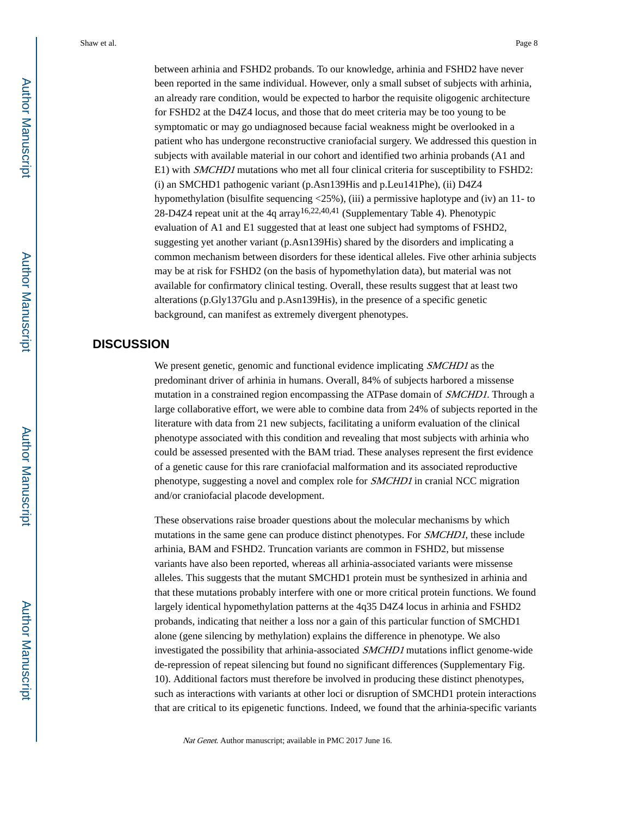between arhinia and FSHD2 probands. To our knowledge, arhinia and FSHD2 have never been reported in the same individual. However, only a small subset of subjects with arhinia, an already rare condition, would be expected to harbor the requisite oligogenic architecture for FSHD2 at the D4Z4 locus, and those that do meet criteria may be too young to be symptomatic or may go undiagnosed because facial weakness might be overlooked in a patient who has undergone reconstructive craniofacial surgery. We addressed this question in subjects with available material in our cohort and identified two arhinia probands (A1 and E1) with SMCHD1 mutations who met all four clinical criteria for susceptibility to FSHD2: (i) an SMCHD1 pathogenic variant (p.Asn139His and p.Leu141Phe), (ii) D4Z4 hypomethylation (bisulfite sequencing <25%), (iii) a permissive haplotype and (iv) an 11- to 28-D4Z4 repeat unit at the 4q array<sup>16,22,40,41</sup> (Supplementary Table 4). Phenotypic evaluation of A1 and E1 suggested that at least one subject had symptoms of FSHD2, suggesting yet another variant (p.Asn139His) shared by the disorders and implicating a common mechanism between disorders for these identical alleles. Five other arhinia subjects may be at risk for FSHD2 (on the basis of hypomethylation data), but material was not available for confirmatory clinical testing. Overall, these results suggest that at least two alterations (p.Gly137Glu and p.Asn139His), in the presence of a specific genetic background, can manifest as extremely divergent phenotypes.

## **DISCUSSION**

We present genetic, genomic and functional evidence implicating *SMCHD1* as the predominant driver of arhinia in humans. Overall, 84% of subjects harbored a missense mutation in a constrained region encompassing the ATPase domain of *SMCHD1*. Through a large collaborative effort, we were able to combine data from 24% of subjects reported in the literature with data from 21 new subjects, facilitating a uniform evaluation of the clinical phenotype associated with this condition and revealing that most subjects with arhinia who could be assessed presented with the BAM triad. These analyses represent the first evidence of a genetic cause for this rare craniofacial malformation and its associated reproductive phenotype, suggesting a novel and complex role for SMCHD1 in cranial NCC migration and/or craniofacial placode development.

These observations raise broader questions about the molecular mechanisms by which mutations in the same gene can produce distinct phenotypes. For *SMCHD1*, these include arhinia, BAM and FSHD2. Truncation variants are common in FSHD2, but missense variants have also been reported, whereas all arhinia-associated variants were missense alleles. This suggests that the mutant SMCHD1 protein must be synthesized in arhinia and that these mutations probably interfere with one or more critical protein functions. We found largely identical hypomethylation patterns at the 4q35 D4Z4 locus in arhinia and FSHD2 probands, indicating that neither a loss nor a gain of this particular function of SMCHD1 alone (gene silencing by methylation) explains the difference in phenotype. We also investigated the possibility that arhinia-associated SMCHD1 mutations inflict genome-wide de-repression of repeat silencing but found no significant differences (Supplementary Fig. 10). Additional factors must therefore be involved in producing these distinct phenotypes, such as interactions with variants at other loci or disruption of SMCHD1 protein interactions that are critical to its epigenetic functions. Indeed, we found that the arhinia-specific variants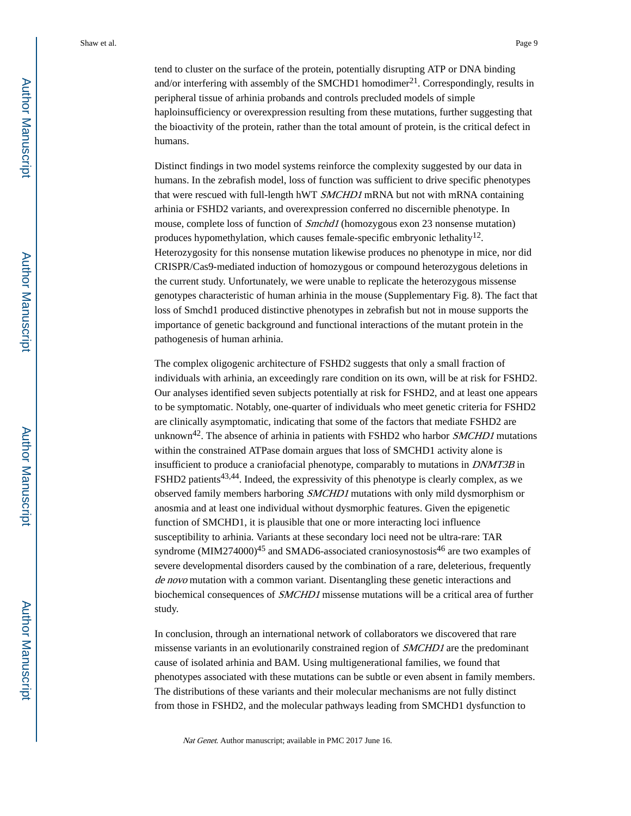tend to cluster on the surface of the protein, potentially disrupting ATP or DNA binding and/or interfering with assembly of the SMCHD1 homodimer<sup>21</sup>. Correspondingly, results in peripheral tissue of arhinia probands and controls precluded models of simple haploinsufficiency or overexpression resulting from these mutations, further suggesting that the bioactivity of the protein, rather than the total amount of protein, is the critical defect in humans.

Distinct findings in two model systems reinforce the complexity suggested by our data in humans. In the zebrafish model, loss of function was sufficient to drive specific phenotypes that were rescued with full-length hWT *SMCHD1* mRNA but not with mRNA containing arhinia or FSHD2 variants, and overexpression conferred no discernible phenotype. In mouse, complete loss of function of *Smchd1* (homozygous exon 23 nonsense mutation) produces hypomethylation, which causes female-specific embryonic lethality<sup>12</sup>. Heterozygosity for this nonsense mutation likewise produces no phenotype in mice, nor did CRISPR/Cas9-mediated induction of homozygous or compound heterozygous deletions in the current study. Unfortunately, we were unable to replicate the heterozygous missense genotypes characteristic of human arhinia in the mouse (Supplementary Fig. 8). The fact that loss of Smchd1 produced distinctive phenotypes in zebrafish but not in mouse supports the importance of genetic background and functional interactions of the mutant protein in the pathogenesis of human arhinia.

The complex oligogenic architecture of FSHD2 suggests that only a small fraction of individuals with arhinia, an exceedingly rare condition on its own, will be at risk for FSHD2. Our analyses identified seven subjects potentially at risk for FSHD2, and at least one appears to be symptomatic. Notably, one-quarter of individuals who meet genetic criteria for FSHD2 are clinically asymptomatic, indicating that some of the factors that mediate FSHD2 are unknown<sup>42</sup>. The absence of arhinia in patients with FSHD2 who harbor  $SMCHD1$  mutations within the constrained ATPase domain argues that loss of SMCHD1 activity alone is insufficient to produce a craniofacial phenotype, comparably to mutations in DNMT3B in FSHD2 patients<sup>43,44</sup>. Indeed, the expressivity of this phenotype is clearly complex, as we observed family members harboring SMCHD1 mutations with only mild dysmorphism or anosmia and at least one individual without dysmorphic features. Given the epigenetic function of SMCHD1, it is plausible that one or more interacting loci influence susceptibility to arhinia. Variants at these secondary loci need not be ultra-rare: TAR syndrome (MIM274000)<sup>45</sup> and SMAD6-associated craniosynostosis<sup>46</sup> are two examples of severe developmental disorders caused by the combination of a rare, deleterious, frequently de novo mutation with a common variant. Disentangling these genetic interactions and biochemical consequences of SMCHD1 missense mutations will be a critical area of further study.

In conclusion, through an international network of collaborators we discovered that rare missense variants in an evolutionarily constrained region of *SMCHD1* are the predominant cause of isolated arhinia and BAM. Using multigenerational families, we found that phenotypes associated with these mutations can be subtle or even absent in family members. The distributions of these variants and their molecular mechanisms are not fully distinct from those in FSHD2, and the molecular pathways leading from SMCHD1 dysfunction to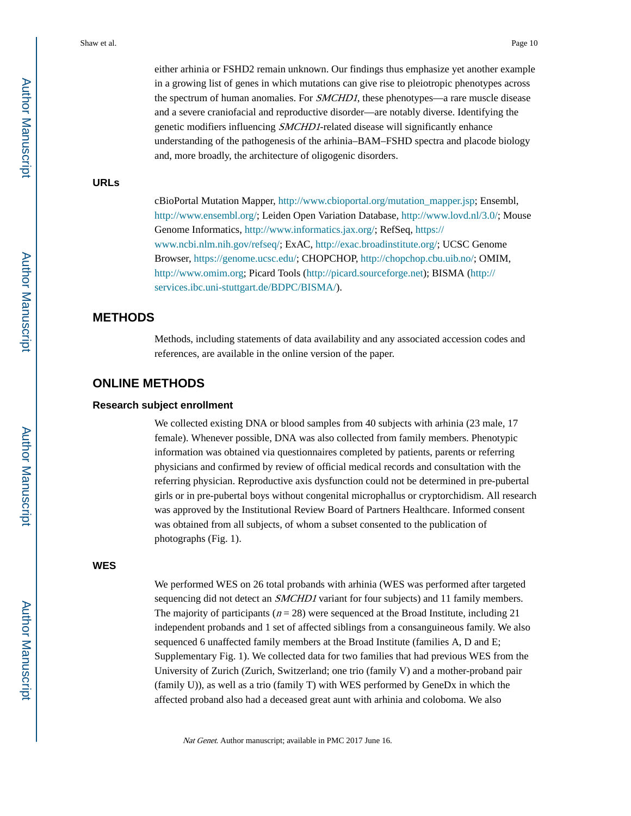either arhinia or FSHD2 remain unknown. Our findings thus emphasize yet another example in a growing list of genes in which mutations can give rise to pleiotropic phenotypes across the spectrum of human anomalies. For *SMCHD1*, these phenotypes—a rare muscle disease and a severe craniofacial and reproductive disorder—are notably diverse. Identifying the genetic modifiers influencing SMCHD1-related disease will significantly enhance understanding of the pathogenesis of the arhinia–BAM–FSHD spectra and placode biology and, more broadly, the architecture of oligogenic disorders.

#### **URLs**

cBioPortal Mutation Mapper, [http://www.cbioportal.org/mutation\\_mapper.jsp;](http://www.cbioportal.org/mutation_mapper.jsp) Ensembl, <http://www.ensembl.org/>; Leiden Open Variation Database, <http://www.lovd.nl/3.0/>; Mouse Genome Informatics, [http://www.informatics.jax.org/;](http://www.informatics.jax.org/) RefSeq, [https://](https://www.ncbi.nlm.nih.gov/refseq/) [www.ncbi.nlm.nih.gov/refseq/](https://www.ncbi.nlm.nih.gov/refseq/); ExAC,<http://exac.broadinstitute.org/>; UCSC Genome Browser, [https://genome.ucsc.edu/;](https://genome.ucsc.edu/) CHOPCHOP, [http://chopchop.cbu.uib.no/;](http://chopchop.cbu.uib.no/) OMIM, <http://www.omim.org>; Picard Tools ([http://picard.sourceforge.net\)](http://picard.sourceforge.net); BISMA ([http://](http://services.ibc.uni-stuttgart.de/BDPC/BISMA/) [services.ibc.uni-stuttgart.de/BDPC/BISMA/](http://services.ibc.uni-stuttgart.de/BDPC/BISMA/)).

## **METHODS**

Methods, including statements of data availability and any associated accession codes and references, are available in the online version of the paper.

## **ONLINE METHODS**

#### **Research subject enrollment**

We collected existing DNA or blood samples from 40 subjects with arhinia (23 male, 17 female). Whenever possible, DNA was also collected from family members. Phenotypic information was obtained via questionnaires completed by patients, parents or referring physicians and confirmed by review of official medical records and consultation with the referring physician. Reproductive axis dysfunction could not be determined in pre-pubertal girls or in pre-pubertal boys without congenital microphallus or cryptorchidism. All research was approved by the Institutional Review Board of Partners Healthcare. Informed consent was obtained from all subjects, of whom a subset consented to the publication of photographs (Fig. 1).

#### **WES**

We performed WES on 26 total probands with arhinia (WES was performed after targeted sequencing did not detect an *SMCHD1* variant for four subjects) and 11 family members. The majority of participants ( $n = 28$ ) were sequenced at the Broad Institute, including 21 independent probands and 1 set of affected siblings from a consanguineous family. We also sequenced 6 unaffected family members at the Broad Institute (families A, D and E; Supplementary Fig. 1). We collected data for two families that had previous WES from the University of Zurich (Zurich, Switzerland; one trio (family V) and a mother-proband pair (family U)), as well as a trio (family T) with WES performed by GeneDx in which the affected proband also had a deceased great aunt with arhinia and coloboma. We also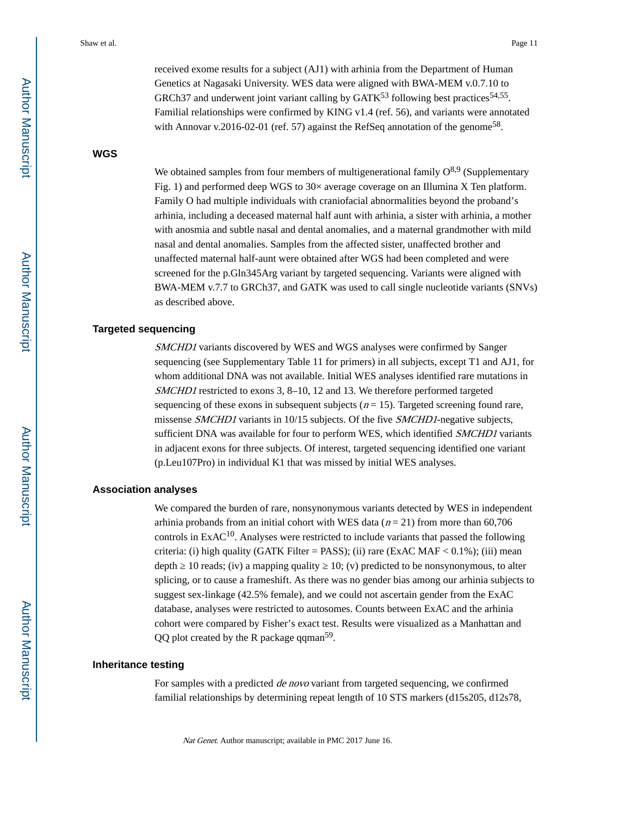received exome results for a subject (AJ1) with arhinia from the Department of Human Genetics at Nagasaki University. WES data were aligned with BWA-MEM v.0.7.10 to GRCh37 and underwent joint variant calling by  $GATK<sup>53</sup>$  following best practices<sup>54,55</sup>. Familial relationships were confirmed by KING v1.4 (ref. 56), and variants were annotated with Annovar v.2016-02-01 (ref. 57) against the RefSeq annotation of the genome<sup>58</sup>.

## **WGS**

We obtained samples from four members of multigenerational family  $O^{8,9}$  (Supplementary Fig. 1) and performed deep WGS to 30× average coverage on an Illumina X Ten platform. Family O had multiple individuals with craniofacial abnormalities beyond the proband's arhinia, including a deceased maternal half aunt with arhinia, a sister with arhinia, a mother with anosmia and subtle nasal and dental anomalies, and a maternal grandmother with mild nasal and dental anomalies. Samples from the affected sister, unaffected brother and unaffected maternal half-aunt were obtained after WGS had been completed and were screened for the p.Gln345Arg variant by targeted sequencing. Variants were aligned with BWA-MEM v.7.7 to GRCh37, and GATK was used to call single nucleotide variants (SNVs) as described above.

#### **Targeted sequencing**

SMCHD1 variants discovered by WES and WGS analyses were confirmed by Sanger sequencing (see Supplementary Table 11 for primers) in all subjects, except T1 and AJ1, for whom additional DNA was not available. Initial WES analyses identified rare mutations in SMCHD1 restricted to exons 3, 8-10, 12 and 13. We therefore performed targeted sequencing of these exons in subsequent subjects ( $n = 15$ ). Targeted screening found rare, missense SMCHD1 variants in 10/15 subjects. Of the five SMCHD1-negative subjects, sufficient DNA was available for four to perform WES, which identified *SMCHD1* variants in adjacent exons for three subjects. Of interest, targeted sequencing identified one variant (p.Leu107Pro) in individual K1 that was missed by initial WES analyses.

#### **Association analyses**

We compared the burden of rare, nonsynonymous variants detected by WES in independent arhinia probands from an initial cohort with WES data ( $n = 21$ ) from more than 60,706 controls in  $ExAC<sup>10</sup>$ . Analyses were restricted to include variants that passed the following criteria: (i) high quality (GATK Filter = PASS); (ii) rare (ExAC MAF <  $0.1\%$ ); (iii) mean depth  $10$  reads; (iv) a mapping quality  $10$ ; (v) predicted to be nonsynonymous, to alter splicing, or to cause a frameshift. As there was no gender bias among our arhinia subjects to suggest sex-linkage (42.5% female), and we could not ascertain gender from the ExAC database, analyses were restricted to autosomes. Counts between ExAC and the arhinia cohort were compared by Fisher's exact test. Results were visualized as a Manhattan and QQ plot created by the R package qqman<sup>59</sup>.

#### **Inheritance testing**

For samples with a predicted de novo variant from targeted sequencing, we confirmed familial relationships by determining repeat length of 10 STS markers (d15s205, d12s78,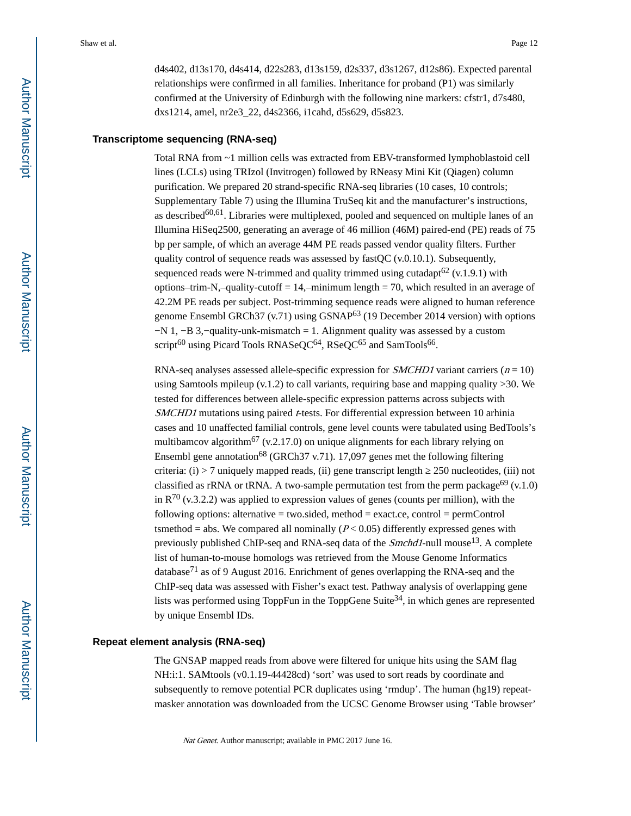d4s402, d13s170, d4s414, d22s283, d13s159, d2s337, d3s1267, d12s86). Expected parental relationships were confirmed in all families. Inheritance for proband (P1) was similarly confirmed at the University of Edinburgh with the following nine markers: cfstr1, d7s480, dxs1214, amel, nr2e3\_22, d4s2366, i1cahd, d5s629, d5s823.

## **Transcriptome sequencing (RNA-seq)**

Total RNA from ~1 million cells was extracted from EBV-transformed lymphoblastoid cell lines (LCLs) using TRIzol (Invitrogen) followed by RNeasy Mini Kit (Qiagen) column purification. We prepared 20 strand-specific RNA-seq libraries (10 cases, 10 controls; Supplementary Table 7) using the Illumina TruSeq kit and the manufacturer's instructions, as described<sup>60,61</sup>. Libraries were multiplexed, pooled and sequenced on multiple lanes of an Illumina HiSeq2500, generating an average of 46 million (46M) paired-end (PE) reads of 75 bp per sample, of which an average 44M PE reads passed vendor quality filters. Further quality control of sequence reads was assessed by fast  $QC$  (v.0.10.1). Subsequently, sequenced reads were N-trimmed and quality trimmed using cutadapt<sup>62</sup> (v.1.9.1) with options–trim-N,–quality-cutoff  $= 14$ ,–minimum length  $= 70$ , which resulted in an average of 42.2M PE reads per subject. Post-trimming sequence reads were aligned to human reference genome Ensembl GRCh37 (v.71) using GSNAP63 (19 December 2014 version) with options −N 1, −B 3,−quality-unk-mismatch = 1. Alignment quality was assessed by a custom script<sup>60</sup> using Picard Tools RNASeQC<sup>64</sup>, RSeQC<sup>65</sup> and SamTools<sup>66</sup>.

RNA-seq analyses assessed allele-specific expression for *SMCHD1* variant carriers ( $n = 10$ ) using Samtools mpileup  $(v.1.2)$  to call variants, requiring base and mapping quality  $>30$ . We tested for differences between allele-specific expression patterns across subjects with SMCHD1 mutations using paired *t*-tests. For differential expression between 10 arhinia cases and 10 unaffected familial controls, gene level counts were tabulated using BedTools's multibamcov algorithm<sup>67</sup> (v.2.17.0) on unique alignments for each library relying on Ensembl gene annotation<sup>68</sup> (GRCh37 v.71). 17,097 genes met the following filtering criteria: (i) > 7 uniquely mapped reads, (ii) gene transcript length ≥ 250 nucleotides, (iii) not classified as rRNA or tRNA. A two-sample permutation test from the perm package<sup>69</sup> (v.1.0) in  $R^{70}$  (v.3.2.2) was applied to expression values of genes (counts per million), with the following options: alternative = two.sided, method = exact.ce, control = permControl tsmethod = abs. We compared all nominally  $(P< 0.05)$  differently expressed genes with previously published ChIP-seq and RNA-seq data of the  $Smchd1$ -null mouse<sup>13</sup>. A complete list of human-to-mouse homologs was retrieved from the Mouse Genome Informatics database<sup>71</sup> as of 9 August 2016. Enrichment of genes overlapping the RNA-seq and the ChIP-seq data was assessed with Fisher's exact test. Pathway analysis of overlapping gene lists was performed using ToppFun in the ToppGene Suite<sup>34</sup>, in which genes are represented by unique Ensembl IDs.

#### **Repeat element analysis (RNA-seq)**

The GNSAP mapped reads from above were filtered for unique hits using the SAM flag NH:i:1. SAMtools (v0.1.19-44428cd) 'sort' was used to sort reads by coordinate and subsequently to remove potential PCR duplicates using 'rmdup'. The human (hg19) repeatmasker annotation was downloaded from the UCSC Genome Browser using 'Table browser'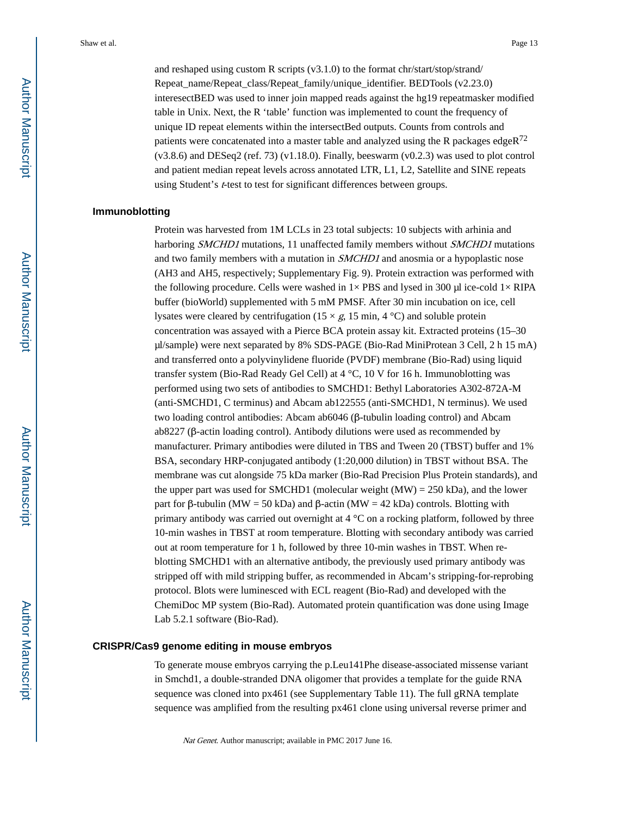and reshaped using custom R scripts (v3.1.0) to the format chr/start/stop/strand/ Repeat\_name/Repeat\_class/Repeat\_family/unique\_identifier. BEDTools (v2.23.0) interesectBED was used to inner join mapped reads against the hg19 repeatmasker modified table in Unix. Next, the R 'table' function was implemented to count the frequency of unique ID repeat elements within the intersectBed outputs. Counts from controls and patients were concatenated into a master table and analyzed using the R packages edge $R^{72}$  $(v3.8.6)$  and DESeq2 (ref. 73)  $(v1.18.0)$ . Finally, beeswarm  $(v0.2.3)$  was used to plot control and patient median repeat levels across annotated LTR, L1, L2, Satellite and SINE repeats using Student's *t*-test to test for significant differences between groups.

## **Immunoblotting**

Protein was harvested from 1M LCLs in 23 total subjects: 10 subjects with arhinia and harboring *SMCHD1* mutations, 11 unaffected family members without *SMCHD1* mutations and two family members with a mutation in *SMCHD1* and anosmia or a hypoplastic nose (AH3 and AH5, respectively; Supplementary Fig. 9). Protein extraction was performed with the following procedure. Cells were washed in  $1\times$  PBS and lysed in 300 µl ice-cold  $1\times$  RIPA buffer (bioWorld) supplemented with 5 mM PMSF. After 30 min incubation on ice, cell lysates were cleared by centrifugation ( $15 \times g$ ,  $15 \text{ min}$ ,  $4 \text{ }^{\circ}$ C) and soluble protein concentration was assayed with a Pierce BCA protein assay kit. Extracted proteins (15–30 μl/sample) were next separated by 8% SDS-PAGE (Bio-Rad MiniProtean 3 Cell, 2 h 15 mA) and transferred onto a polyvinylidene fluoride (PVDF) membrane (Bio-Rad) using liquid transfer system (Bio-Rad Ready Gel Cell) at 4 °C, 10 V for 16 h. Immunoblotting was performed using two sets of antibodies to SMCHD1: Bethyl Laboratories A302-872A-M (anti-SMCHD1, C terminus) and Abcam ab122555 (anti-SMCHD1, N terminus). We used two loading control antibodies: Abcam ab6046 (β-tubulin loading control) and Abcam ab8227 (β-actin loading control). Antibody dilutions were used as recommended by manufacturer. Primary antibodies were diluted in TBS and Tween 20 (TBST) buffer and 1% BSA, secondary HRP-conjugated antibody (1:20,000 dilution) in TBST without BSA. The membrane was cut alongside 75 kDa marker (Bio-Rad Precision Plus Protein standards), and the upper part was used for SMCHD1 (molecular weight  $(MW) = 250$  kDa), and the lower part for β-tubulin (MW = 50 kDa) and β-actin (MW = 42 kDa) controls. Blotting with primary antibody was carried out overnight at 4 °C on a rocking platform, followed by three 10-min washes in TBST at room temperature. Blotting with secondary antibody was carried out at room temperature for 1 h, followed by three 10-min washes in TBST. When reblotting SMCHD1 with an alternative antibody, the previously used primary antibody was stripped off with mild stripping buffer, as recommended in Abcam's stripping-for-reprobing protocol. Blots were luminesced with ECL reagent (Bio-Rad) and developed with the ChemiDoc MP system (Bio-Rad). Automated protein quantification was done using Image Lab 5.2.1 software (Bio-Rad).

## **CRISPR/Cas9 genome editing in mouse embryos**

To generate mouse embryos carrying the p.Leu141Phe disease-associated missense variant in Smchd1, a double-stranded DNA oligomer that provides a template for the guide RNA sequence was cloned into px461 (see Supplementary Table 11). The full gRNA template sequence was amplified from the resulting px461 clone using universal reverse primer and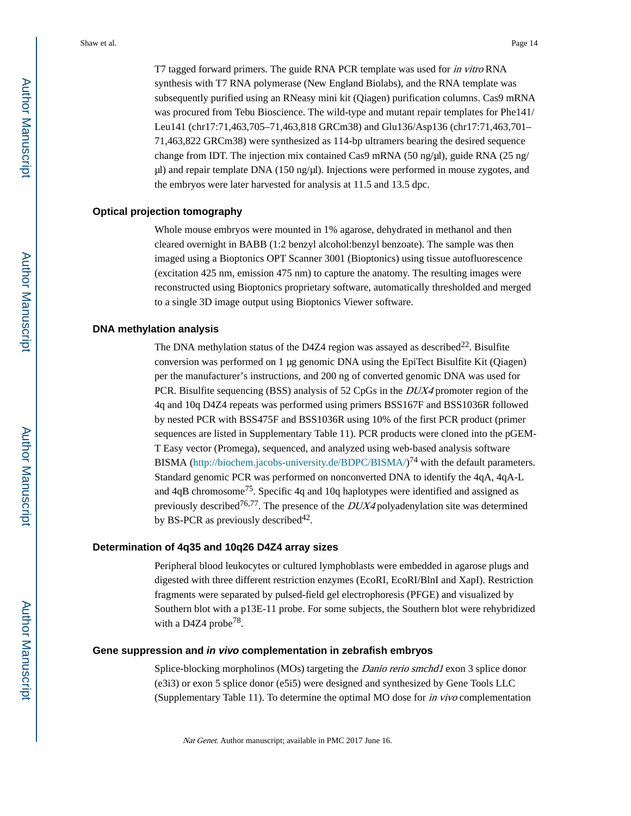T7 tagged forward primers. The guide RNA PCR template was used for in vitro RNA synthesis with T7 RNA polymerase (New England Biolabs), and the RNA template was subsequently purified using an RNeasy mini kit (Qiagen) purification columns. Cas9 mRNA was procured from Tebu Bioscience. The wild-type and mutant repair templates for Phe141/ Leu141 (chr17:71,463,705–71,463,818 GRCm38) and Glu136/Asp136 (chr17:71,463,701– 71,463,822 GRCm38) were synthesized as 114-bp ultramers bearing the desired sequence change from IDT. The injection mix contained Cas9 mRNA (50 ng/μl), guide RNA (25 ng/ μl) and repair template DNA (150 ng/μl). Injections were performed in mouse zygotes, and the embryos were later harvested for analysis at 11.5 and 13.5 dpc.

## **Optical projection tomography**

Whole mouse embryos were mounted in 1% agarose, dehydrated in methanol and then cleared overnight in BABB (1:2 benzyl alcohol:benzyl benzoate). The sample was then imaged using a Bioptonics OPT Scanner 3001 (Bioptonics) using tissue autofluorescence (excitation 425 nm, emission 475 nm) to capture the anatomy. The resulting images were reconstructed using Bioptonics proprietary software, automatically thresholded and merged to a single 3D image output using Bioptonics Viewer software.

#### **DNA methylation analysis**

The DNA methylation status of the D4Z4 region was assayed as described<sup>22</sup>. Bisulfite conversion was performed on 1 μg genomic DNA using the EpiTect Bisulfite Kit (Qiagen) per the manufacturer's instructions, and 200 ng of converted genomic DNA was used for PCR. Bisulfite sequencing (BSS) analysis of 52 CpGs in the *DUX4* promoter region of the 4q and 10q D4Z4 repeats was performed using primers BSS167F and BSS1036R followed by nested PCR with BSS475F and BSS1036R using 10% of the first PCR product (primer sequences are listed in Supplementary Table 11). PCR products were cloned into the pGEM-T Easy vector (Promega), sequenced, and analyzed using web-based analysis software BISMA (<http://biochem.jacobs-university.de/BDPC/BISMA/>)<sup>74</sup> with the default parameters. Standard genomic PCR was performed on nonconverted DNA to identify the 4qA, 4qA-L and 4qB chromosome75. Specific 4q and 10q haplotypes were identified and assigned as previously described<sup>76,77</sup>. The presence of the  $DUX4$  polyadenylation site was determined by BS-PCR as previously described  $42$ .

## **Determination of 4q35 and 10q26 D4Z4 array sizes**

Peripheral blood leukocytes or cultured lymphoblasts were embedded in agarose plugs and digested with three different restriction enzymes (EcoRI, EcoRI/BlnI and XapI). Restriction fragments were separated by pulsed-field gel electrophoresis (PFGE) and visualized by Southern blot with a p13E-11 probe. For some subjects, the Southern blot were rehybridized with a D4Z4 probe<sup>78</sup>.

#### **Gene suppression and in vivo complementation in zebrafish embryos**

Splice-blocking morpholinos (MOs) targeting the *Danio rerio smchd1* exon 3 splice donor (e3i3) or exon 5 splice donor (e5i5) were designed and synthesized by Gene Tools LLC (Supplementary Table 11). To determine the optimal MO dose for in vivo complementation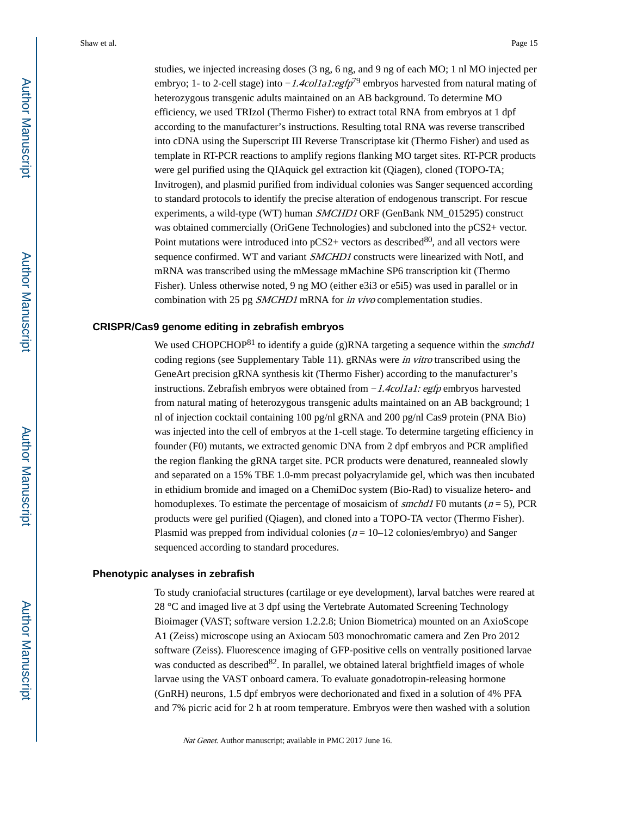studies, we injected increasing doses (3 ng, 6 ng, and 9 ng of each MO; 1 nl MO injected per embryo; 1- to 2-cell stage) into *-1.4col1a1:egfp*<sup>79</sup> embryos harvested from natural mating of heterozygous transgenic adults maintained on an AB background. To determine MO efficiency, we used TRIzol (Thermo Fisher) to extract total RNA from embryos at 1 dpf according to the manufacturer's instructions. Resulting total RNA was reverse transcribed into cDNA using the Superscript III Reverse Transcriptase kit (Thermo Fisher) and used as template in RT-PCR reactions to amplify regions flanking MO target sites. RT-PCR products were gel purified using the QIAquick gel extraction kit (Qiagen), cloned (TOPO-TA; Invitrogen), and plasmid purified from individual colonies was Sanger sequenced according to standard protocols to identify the precise alteration of endogenous transcript. For rescue experiments, a wild-type (WT) human *SMCHD1* ORF (GenBank NM\_015295) construct was obtained commercially (OriGene Technologies) and subcloned into the  $pCS2+$  vector. Point mutations were introduced into  $pCS2+$  vectors as described  $80$ , and all vectors were sequence confirmed. WT and variant SMCHD1 constructs were linearized with NotI, and mRNA was transcribed using the mMessage mMachine SP6 transcription kit (Thermo Fisher). Unless otherwise noted, 9 ng MO (either e3i3 or e5i5) was used in parallel or in combination with 25 pg SMCHD1 mRNA for in vivo complementation studies.

#### **CRISPR/Cas9 genome editing in zebrafish embryos**

We used CHOPCHOP<sup>81</sup> to identify a guide (g)RNA targeting a sequence within the *smchd1* coding regions (see Supplementary Table 11). gRNAs were in vitro transcribed using the GeneArt precision gRNA synthesis kit (Thermo Fisher) according to the manufacturer's instructions. Zebrafish embryos were obtained from −1.4col1a1: egfp embryos harvested from natural mating of heterozygous transgenic adults maintained on an AB background; 1 nl of injection cocktail containing 100 pg/nl gRNA and 200 pg/nl Cas9 protein (PNA Bio) was injected into the cell of embryos at the 1-cell stage. To determine targeting efficiency in founder (F0) mutants, we extracted genomic DNA from 2 dpf embryos and PCR amplified the region flanking the gRNA target site. PCR products were denatured, reannealed slowly and separated on a 15% TBE 1.0-mm precast polyacrylamide gel, which was then incubated in ethidium bromide and imaged on a ChemiDoc system (Bio-Rad) to visualize hetero- and homoduplexes. To estimate the percentage of mosaicism of *smchd1* F0 mutants ( $n = 5$ ), PCR products were gel purified (Qiagen), and cloned into a TOPO-TA vector (Thermo Fisher). Plasmid was prepped from individual colonies ( $n = 10-12$  colonies/embryo) and Sanger sequenced according to standard procedures.

#### **Phenotypic analyses in zebrafish**

To study craniofacial structures (cartilage or eye development), larval batches were reared at 28 °C and imaged live at 3 dpf using the Vertebrate Automated Screening Technology Bioimager (VAST; software version 1.2.2.8; Union Biometrica) mounted on an AxioScope A1 (Zeiss) microscope using an Axiocam 503 monochromatic camera and Zen Pro 2012 software (Zeiss). Fluorescence imaging of GFP-positive cells on ventrally positioned larvae was conducted as described $82$ . In parallel, we obtained lateral brightfield images of whole larvae using the VAST onboard camera. To evaluate gonadotropin-releasing hormone (GnRH) neurons, 1.5 dpf embryos were dechorionated and fixed in a solution of 4% PFA and 7% picric acid for 2 h at room temperature. Embryos were then washed with a solution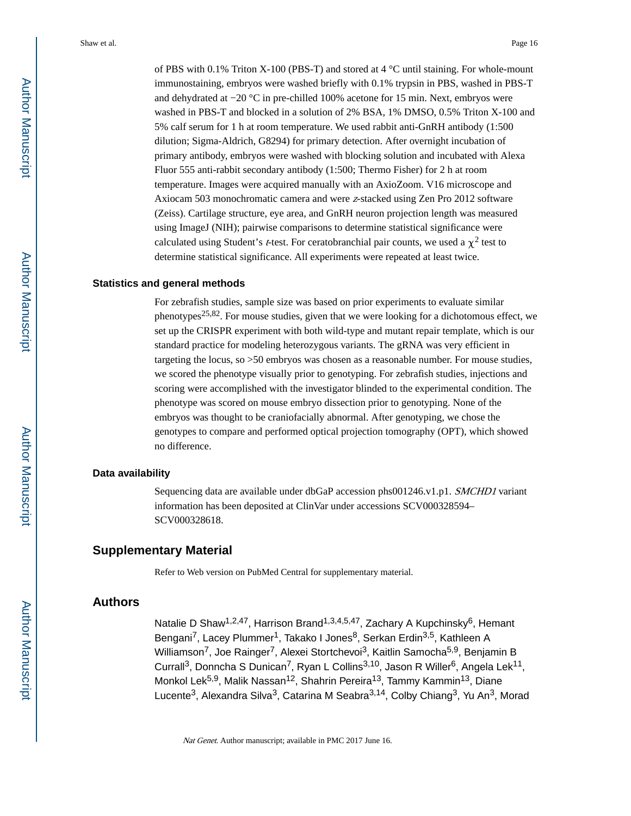of PBS with 0.1% Triton X-100 (PBS-T) and stored at 4  $\degree$ C until staining. For whole-mount immunostaining, embryos were washed briefly with 0.1% trypsin in PBS, washed in PBS-T and dehydrated at −20 °C in pre-chilled 100% acetone for 15 min. Next, embryos were washed in PBS-T and blocked in a solution of 2% BSA, 1% DMSO, 0.5% Triton X-100 and 5% calf serum for 1 h at room temperature. We used rabbit anti-GnRH antibody (1:500 dilution; Sigma-Aldrich, G8294) for primary detection. After overnight incubation of primary antibody, embryos were washed with blocking solution and incubated with Alexa Fluor 555 anti-rabbit secondary antibody (1:500; Thermo Fisher) for 2 h at room temperature. Images were acquired manually with an AxioZoom. V16 microscope and Axiocam 503 monochromatic camera and were z-stacked using Zen Pro 2012 software (Zeiss). Cartilage structure, eye area, and GnRH neuron projection length was measured using ImageJ (NIH); pairwise comparisons to determine statistical significance were calculated using Student's *t*-test. For ceratobranchial pair counts, we used a  $\chi^2$  test to determine statistical significance. All experiments were repeated at least twice.

## **Statistics and general methods**

For zebrafish studies, sample size was based on prior experiments to evaluate similar phenotypes<sup>25,82</sup>. For mouse studies, given that we were looking for a dichotomous effect, we set up the CRISPR experiment with both wild-type and mutant repair template, which is our standard practice for modeling heterozygous variants. The gRNA was very efficient in targeting the locus, so >50 embryos was chosen as a reasonable number. For mouse studies, we scored the phenotype visually prior to genotyping. For zebrafish studies, injections and scoring were accomplished with the investigator blinded to the experimental condition. The phenotype was scored on mouse embryo dissection prior to genotyping. None of the embryos was thought to be craniofacially abnormal. After genotyping, we chose the genotypes to compare and performed optical projection tomography (OPT), which showed no difference.

#### **Data availability**

Sequencing data are available under dbGaP accession phs001246.v1.p1. SMCHD1 variant information has been deposited at ClinVar under accessions SCV000328594– SCV000328618.

## **Supplementary Material**

Refer to Web version on PubMed Central for supplementary material.

## **Authors**

Natalie D Shaw<sup>1,2,47</sup>, Harrison Brand<sup>1,3,4,5,47</sup>, Zachary A Kupchinsky<sup>6</sup>, Hemant Bengani<sup>7</sup>, Lacey Plummer<sup>1</sup>, Takako I Jones<sup>8</sup>, Serkan Erdin<sup>3,5</sup>, Kathleen A Williamson<sup>7</sup>, Joe Rainger<sup>7</sup>, Alexei Stortchevoi<sup>3</sup>, Kaitlin Samocha<sup>5,9</sup>, Benjamin B Currall<sup>3</sup>, Donncha S Dunican<sup>7</sup>, Ryan L Collins<sup>3,10</sup>, Jason R Willer<sup>6</sup>, Angela Lek<sup>11</sup>, Monkol Lek<sup>5,9</sup>, Malik Nassan<sup>12</sup>, Shahrin Pereira<sup>13</sup>, Tammy Kammin<sup>13</sup>, Diane Lucente<sup>3</sup>, Alexandra Silva<sup>3</sup>, Catarina M Seabra<sup>3,14</sup>, Colby Chiang<sup>3</sup>, Yu An<sup>3</sup>, Morad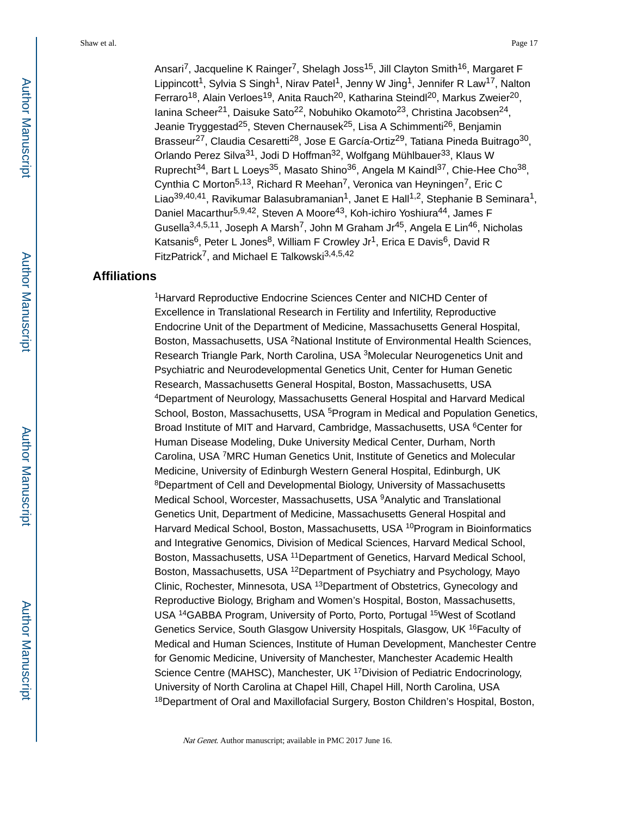Ansari<sup>7</sup>, Jacqueline K Rainger<sup>7</sup>, Shelagh Joss<sup>15</sup>, Jill Clayton Smith<sup>16</sup>, Margaret F Lippincott<sup>1</sup>, Sylvia S Singh<sup>1</sup>, Nirav Patel<sup>1</sup>, Jenny W Jing<sup>1</sup>, Jennifer R Law<sup>17</sup>, Nalton Ferraro<sup>18</sup>, Alain Verloes<sup>19</sup>, Anita Rauch<sup>20</sup>, Katharina Steindl<sup>20</sup>, Markus Zweier<sup>20</sup>, Ianina Scheer<sup>21</sup>, Daisuke Sato<sup>22</sup>, Nobuhiko Okamoto<sup>23</sup>, Christina Jacobsen<sup>24</sup>, Jeanie Tryggestad<sup>25</sup>, Steven Chernausek<sup>25</sup>, Lisa A Schimmenti<sup>26</sup>, Benjamin Brasseur<sup>27</sup>, Claudia Cesaretti<sup>28</sup>, Jose E García-Ortiz<sup>29</sup>, Tatiana Pineda Buitrago<sup>30</sup>, Orlando Perez Silva<sup>31</sup>, Jodi D Hoffman<sup>32</sup>, Wolfgang Mühlbauer<sup>33</sup>, Klaus W Ruprecht<sup>34</sup>, Bart L Loeys<sup>35</sup>, Masato Shino<sup>36</sup>, Angela M Kaindl<sup>37</sup>, Chie-Hee Cho<sup>38</sup>, Cynthia C Morton5,13, Richard R Meehan7, Veronica van Heyningen7, Eric C Liao<sup>39,40,41</sup>, Ravikumar Balasubramanian<sup>1</sup>, Janet E Hall<sup>1,2</sup>, Stephanie B Seminara<sup>1</sup>, Daniel Macarthur<sup>5,9,42</sup>, Steven A Moore<sup>43</sup>, Koh-ichiro Yoshiura<sup>44</sup>, James F Gusella<sup>3,4,5,11</sup>, Joseph A Marsh<sup>7</sup>, John M Graham Jr<sup>45</sup>, Angela E Lin<sup>46</sup>, Nicholas Katsanis<sup>6</sup>, Peter L Jones<sup>8</sup>, William F Crowley Jr<sup>1</sup>, Erica E Davis<sup>6</sup>, David R FitzPatrick7, and Michael E Talkowski3,4,5,42

## **Affiliations**

<sup>1</sup>Harvard Reproductive Endocrine Sciences Center and NICHD Center of Excellence in Translational Research in Fertility and Infertility, Reproductive Endocrine Unit of the Department of Medicine, Massachusetts General Hospital, Boston, Massachusetts, USA <sup>2</sup>National Institute of Environmental Health Sciences, Research Triangle Park, North Carolina, USA <sup>3</sup>Molecular Neurogenetics Unit and Psychiatric and Neurodevelopmental Genetics Unit, Center for Human Genetic Research, Massachusetts General Hospital, Boston, Massachusetts, USA <sup>4</sup>Department of Neurology, Massachusetts General Hospital and Harvard Medical School, Boston, Massachusetts, USA <sup>5</sup>Program in Medical and Population Genetics, Broad Institute of MIT and Harvard, Cambridge, Massachusetts, USA <sup>6</sup>Center for Human Disease Modeling, Duke University Medical Center, Durham, North Carolina, USA <sup>7</sup>MRC Human Genetics Unit, Institute of Genetics and Molecular Medicine, University of Edinburgh Western General Hospital, Edinburgh, UK <sup>8</sup>Department of Cell and Developmental Biology, University of Massachusetts Medical School, Worcester, Massachusetts, USA <sup>9</sup>Analytic and Translational Genetics Unit, Department of Medicine, Massachusetts General Hospital and Harvard Medical School, Boston, Massachusetts, USA <sup>10</sup>Program in Bioinformatics and Integrative Genomics, Division of Medical Sciences, Harvard Medical School, Boston, Massachusetts, USA <sup>11</sup>Department of Genetics, Harvard Medical School, Boston, Massachusetts, USA <sup>12</sup>Department of Psychiatry and Psychology, Mayo Clinic, Rochester, Minnesota, USA <sup>13</sup>Department of Obstetrics, Gynecology and Reproductive Biology, Brigham and Women's Hospital, Boston, Massachusetts, USA <sup>14</sup>GABBA Program, University of Porto, Porto, Portugal <sup>15</sup>West of Scotland Genetics Service, South Glasgow University Hospitals, Glasgow, UK <sup>16</sup>Faculty of Medical and Human Sciences, Institute of Human Development, Manchester Centre for Genomic Medicine, University of Manchester, Manchester Academic Health Science Centre (MAHSC), Manchester, UK <sup>17</sup> Division of Pediatric Endocrinology, University of North Carolina at Chapel Hill, Chapel Hill, North Carolina, USA <sup>18</sup>Department of Oral and Maxillofacial Surgery, Boston Children's Hospital, Boston,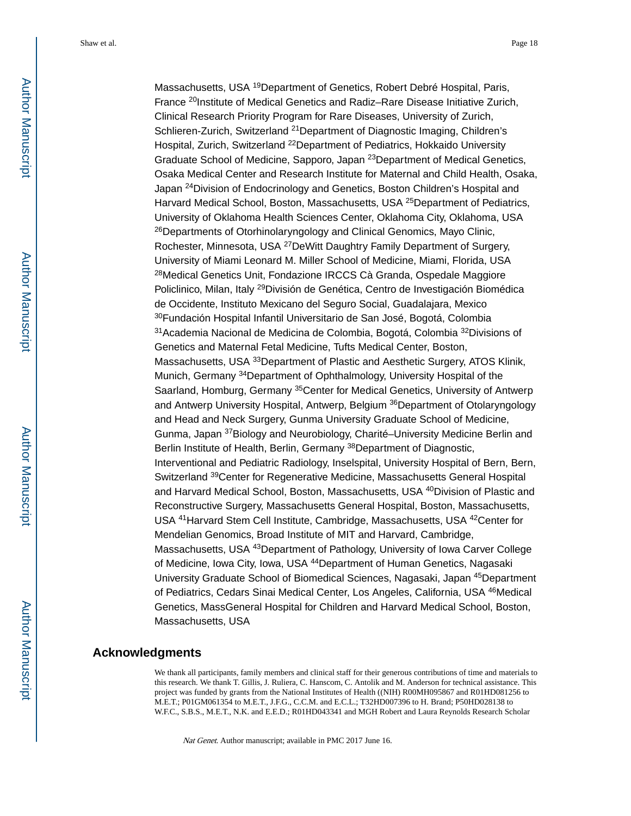Massachusetts, USA <sup>19</sup>Department of Genetics, Robert Debré Hospital, Paris, France <sup>20</sup>Institute of Medical Genetics and Radiz–Rare Disease Initiative Zurich, Clinical Research Priority Program for Rare Diseases, University of Zurich, Schlieren-Zurich, Switzerland <sup>21</sup>Department of Diagnostic Imaging, Children's Hospital, Zurich, Switzerland <sup>22</sup>Department of Pediatrics, Hokkaido University Graduate School of Medicine, Sapporo, Japan <sup>23</sup>Department of Medical Genetics, Osaka Medical Center and Research Institute for Maternal and Child Health, Osaka, Japan <sup>24</sup>Division of Endocrinology and Genetics, Boston Children's Hospital and Harvard Medical School, Boston, Massachusetts, USA <sup>25</sup>Department of Pediatrics, University of Oklahoma Health Sciences Center, Oklahoma City, Oklahoma, USA <sup>26</sup>Departments of Otorhinolaryngology and Clinical Genomics, Mayo Clinic, Rochester, Minnesota, USA <sup>27</sup>DeWitt Daughtry Family Department of Surgery, University of Miami Leonard M. Miller School of Medicine, Miami, Florida, USA <sup>28</sup>Medical Genetics Unit, Fondazione IRCCS Cà Granda, Ospedale Maggiore Policlinico, Milan, Italy 29División de Genética, Centro de Investigación Biomédica de Occidente, Instituto Mexicano del Seguro Social, Guadalajara, Mexico <sup>30</sup>Fundación Hospital Infantil Universitario de San José, Bogotá, Colombia <sup>31</sup>Academia Nacional de Medicina de Colombia, Bogotá, Colombia <sup>32</sup>Divisions of Genetics and Maternal Fetal Medicine, Tufts Medical Center, Boston, Massachusetts, USA <sup>33</sup>Department of Plastic and Aesthetic Surgery, ATOS Klinik, Munich, Germany <sup>34</sup>Department of Ophthalmology, University Hospital of the Saarland, Homburg, Germany <sup>35</sup>Center for Medical Genetics, University of Antwerp and Antwerp University Hospital, Antwerp, Belgium <sup>36</sup>Department of Otolaryngology and Head and Neck Surgery, Gunma University Graduate School of Medicine, Gunma, Japan <sup>37</sup>Biology and Neurobiology, Charité–University Medicine Berlin and Berlin Institute of Health, Berlin, Germany <sup>38</sup>Department of Diagnostic, Interventional and Pediatric Radiology, Inselspital, University Hospital of Bern, Bern, Switzerland <sup>39</sup>Center for Regenerative Medicine, Massachusetts General Hospital and Harvard Medical School, Boston, Massachusetts, USA <sup>40</sup>Division of Plastic and Reconstructive Surgery, Massachusetts General Hospital, Boston, Massachusetts, USA <sup>41</sup>Harvard Stem Cell Institute, Cambridge, Massachusetts, USA <sup>42</sup>Center for Mendelian Genomics, Broad Institute of MIT and Harvard, Cambridge, Massachusetts, USA 43Department of Pathology, University of Iowa Carver College of Medicine, Iowa City, Iowa, USA <sup>44</sup>Department of Human Genetics, Nagasaki University Graduate School of Biomedical Sciences, Nagasaki, Japan <sup>45</sup>Department of Pediatrics, Cedars Sinai Medical Center, Los Angeles, California, USA <sup>46</sup>Medical Genetics, MassGeneral Hospital for Children and Harvard Medical School, Boston, Massachusetts, USA

## **Acknowledgments**

We thank all participants, family members and clinical staff for their generous contributions of time and materials to this research. We thank T. Gillis, J. Ruliera, C. Hanscom, C. Antolik and M. Anderson for technical assistance. This project was funded by grants from the National Institutes of Health ((NIH) R00MH095867 and R01HD081256 to M.E.T.; P01GM061354 to M.E.T., J.F.G., C.C.M. and E.C.L.; T32HD007396 to H. Brand; P50HD028138 to W.F.C., S.B.S., M.E.T., N.K. and E.E.D.; R01HD043341 and MGH Robert and Laura Reynolds Research Scholar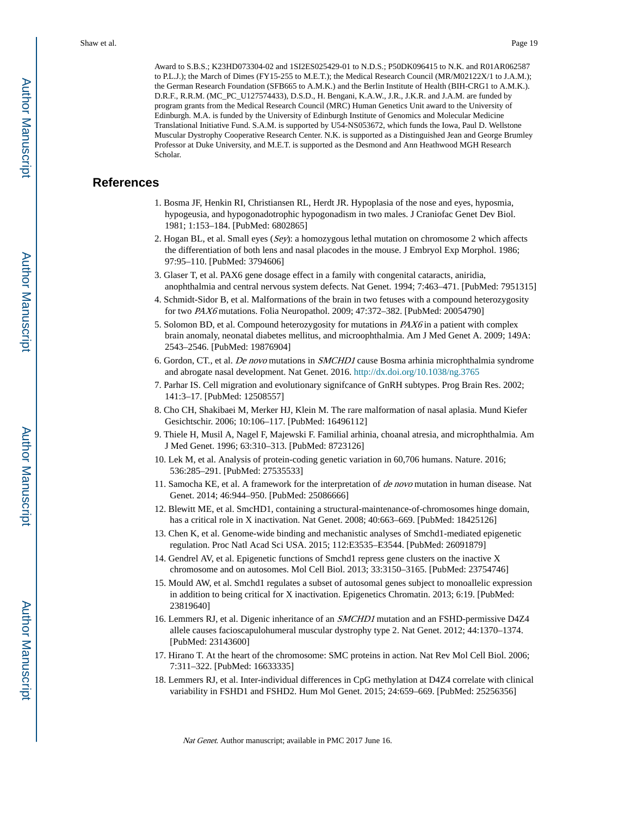Award to S.B.S.; K23HD073304-02 and 1SI2ES025429-01 to N.D.S.; P50DK096415 to N.K. and R01AR062587 to P.L.J.); the March of Dimes (FY15-255 to M.E.T.); the Medical Research Council (MR/M02122X/1 to J.A.M.); the German Research Foundation (SFB665 to A.M.K.) and the Berlin Institute of Health (BIH-CRG1 to A.M.K.). D.R.F., R.R.M. (MC\_PC\_U127574433), D.S.D., H. Bengani, K.A.W., J.R., J.K.R. and J.A.M. are funded by program grants from the Medical Research Council (MRC) Human Genetics Unit award to the University of Edinburgh. M.A. is funded by the University of Edinburgh Institute of Genomics and Molecular Medicine Translational Initiative Fund. S.A.M. is supported by U54-NS053672, which funds the Iowa, Paul D. Wellstone Muscular Dystrophy Cooperative Research Center. N.K. is supported as a Distinguished Jean and George Brumley Professor at Duke University, and M.E.T. is supported as the Desmond and Ann Heathwood MGH Research Scholar.

## **References**

- 1. Bosma JF, Henkin RI, Christiansen RL, Herdt JR. Hypoplasia of the nose and eyes, hyposmia, hypogeusia, and hypogonadotrophic hypogonadism in two males. J Craniofac Genet Dev Biol. 1981; 1:153–184. [PubMed: 6802865]
- 2. Hogan BL, et al. Small eyes (Sey): a homozygous lethal mutation on chromosome 2 which affects the differentiation of both lens and nasal placodes in the mouse. J Embryol Exp Morphol. 1986; 97:95–110. [PubMed: 3794606]
- 3. Glaser T, et al. PAX6 gene dosage effect in a family with congenital cataracts, aniridia, anophthalmia and central nervous system defects. Nat Genet. 1994; 7:463–471. [PubMed: 7951315]
- 4. Schmidt-Sidor B, et al. Malformations of the brain in two fetuses with a compound heterozygosity for two PAX6 mutations. Folia Neuropathol. 2009; 47:372–382. [PubMed: 20054790]
- 5. Solomon BD, et al. Compound heterozygosity for mutations in PAX6 in a patient with complex brain anomaly, neonatal diabetes mellitus, and microophthalmia. Am J Med Genet A. 2009; 149A: 2543–2546. [PubMed: 19876904]
- 6. Gordon, CT., et al. De novo mutations in SMCHD1 cause Bosma arhinia microphthalmia syndrome and abrogate nasal development. Nat Genet. 2016. <http://dx.doi.org/10.1038/ng.3765>
- 7. Parhar IS. Cell migration and evolutionary signifcance of GnRH subtypes. Prog Brain Res. 2002; 141:3–17. [PubMed: 12508557]
- 8. Cho CH, Shakibaei M, Merker HJ, Klein M. The rare malformation of nasal aplasia. Mund Kiefer Gesichtschir. 2006; 10:106–117. [PubMed: 16496112]
- 9. Thiele H, Musil A, Nagel F, Majewski F. Familial arhinia, choanal atresia, and microphthalmia. Am J Med Genet. 1996; 63:310–313. [PubMed: 8723126]
- 10. Lek M, et al. Analysis of protein-coding genetic variation in 60,706 humans. Nature. 2016; 536:285–291. [PubMed: 27535533]
- 11. Samocha KE, et al. A framework for the interpretation of de novo mutation in human disease. Nat Genet. 2014; 46:944–950. [PubMed: 25086666]
- 12. Blewitt ME, et al. SmcHD1, containing a structural-maintenance-of-chromosomes hinge domain, has a critical role in X inactivation. Nat Genet. 2008; 40:663–669. [PubMed: 18425126]
- 13. Chen K, et al. Genome-wide binding and mechanistic analyses of Smchd1-mediated epigenetic regulation. Proc Natl Acad Sci USA. 2015; 112:E3535–E3544. [PubMed: 26091879]
- 14. Gendrel AV, et al. Epigenetic functions of Smchd1 repress gene clusters on the inactive X chromosome and on autosomes. Mol Cell Biol. 2013; 33:3150–3165. [PubMed: 23754746]
- 15. Mould AW, et al. Smchd1 regulates a subset of autosomal genes subject to monoallelic expression in addition to being critical for X inactivation. Epigenetics Chromatin. 2013; 6:19. [PubMed: 23819640]
- 16. Lemmers RJ, et al. Digenic inheritance of an SMCHD1 mutation and an FSHD-permissive D4Z4 allele causes facioscapulohumeral muscular dystrophy type 2. Nat Genet. 2012; 44:1370–1374. [PubMed: 23143600]
- 17. Hirano T. At the heart of the chromosome: SMC proteins in action. Nat Rev Mol Cell Biol. 2006; 7:311–322. [PubMed: 16633335]
- 18. Lemmers RJ, et al. Inter-individual differences in CpG methylation at D4Z4 correlate with clinical variability in FSHD1 and FSHD2. Hum Mol Genet. 2015; 24:659–669. [PubMed: 25256356]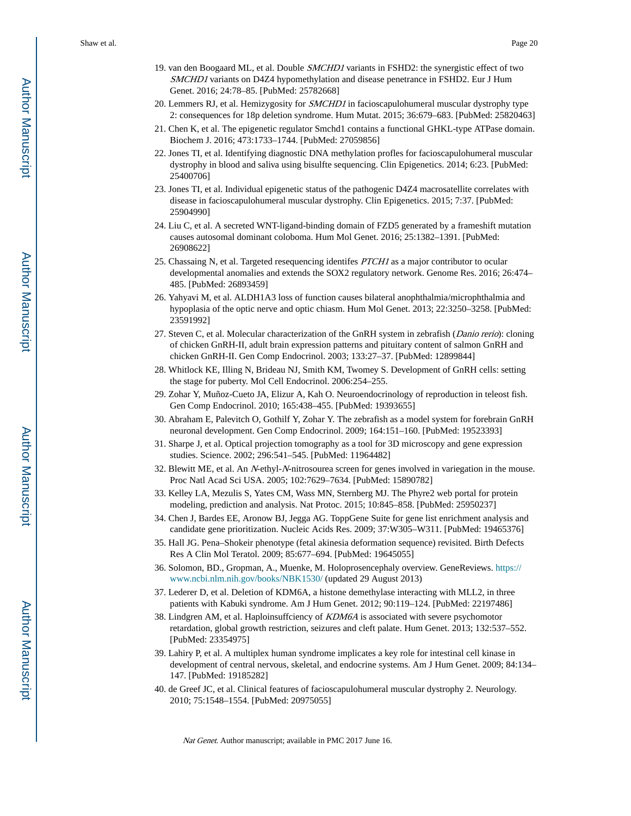- 19. van den Boogaard ML, et al. Double *SMCHD1* variants in FSHD2: the synergistic effect of two SMCHD1 variants on D4Z4 hypomethylation and disease penetrance in FSHD2. Eur J Hum Genet. 2016; 24:78–85. [PubMed: 25782668]
- 20. Lemmers RJ, et al. Hemizygosity for SMCHD1 in facioscapulohumeral muscular dystrophy type 2: consequences for 18p deletion syndrome. Hum Mutat. 2015; 36:679–683. [PubMed: 25820463]
- 21. Chen K, et al. The epigenetic regulator Smchd1 contains a functional GHKL-type ATPase domain. Biochem J. 2016; 473:1733–1744. [PubMed: 27059856]
- 22. Jones TI, et al. Identifying diagnostic DNA methylation profles for facioscapulohumeral muscular dystrophy in blood and saliva using bisulfte sequencing. Clin Epigenetics. 2014; 6:23. [PubMed: 25400706]
- 23. Jones TI, et al. Individual epigenetic status of the pathogenic D4Z4 macrosatellite correlates with disease in facioscapulohumeral muscular dystrophy. Clin Epigenetics. 2015; 7:37. [PubMed: 25904990]
- 24. Liu C, et al. A secreted WNT-ligand-binding domain of FZD5 generated by a frameshift mutation causes autosomal dominant coloboma. Hum Mol Genet. 2016; 25:1382–1391. [PubMed: 26908622]
- 25. Chassaing N, et al. Targeted resequencing identifes PTCH1 as a major contributor to ocular developmental anomalies and extends the SOX2 regulatory network. Genome Res. 2016; 26:474– 485. [PubMed: 26893459]
- 26. Yahyavi M, et al. ALDH1A3 loss of function causes bilateral anophthalmia/microphthalmia and hypoplasia of the optic nerve and optic chiasm. Hum Mol Genet. 2013; 22:3250–3258. [PubMed: 23591992]
- 27. Steven C, et al. Molecular characterization of the GnRH system in zebrafish (*Danio rerio*): cloning of chicken GnRH-II, adult brain expression patterns and pituitary content of salmon GnRH and chicken GnRH-II. Gen Comp Endocrinol. 2003; 133:27–37. [PubMed: 12899844]
- 28. Whitlock KE, Illing N, Brideau NJ, Smith KM, Twomey S. Development of GnRH cells: setting the stage for puberty. Mol Cell Endocrinol. 2006:254–255.
- 29. Zohar Y, Muñoz-Cueto JA, Elizur A, Kah O. Neuroendocrinology of reproduction in teleost fish. Gen Comp Endocrinol. 2010; 165:438–455. [PubMed: 19393655]
- 30. Abraham E, Palevitch O, Gothilf Y, Zohar Y. The zebrafish as a model system for forebrain GnRH neuronal development. Gen Comp Endocrinol. 2009; 164:151–160. [PubMed: 19523393]
- 31. Sharpe J, et al. Optical projection tomography as a tool for 3D microscopy and gene expression studies. Science. 2002; 296:541–545. [PubMed: 11964482]
- 32. Blewitt ME, et al. An N-ethyl-N-nitrosourea screen for genes involved in variegation in the mouse. Proc Natl Acad Sci USA. 2005; 102:7629–7634. [PubMed: 15890782]
- 33. Kelley LA, Mezulis S, Yates CM, Wass MN, Sternberg MJ. The Phyre2 web portal for protein modeling, prediction and analysis. Nat Protoc. 2015; 10:845–858. [PubMed: 25950237]
- 34. Chen J, Bardes EE, Aronow BJ, Jegga AG. ToppGene Suite for gene list enrichment analysis and candidate gene prioritization. Nucleic Acids Res. 2009; 37:W305–W311. [PubMed: 19465376]
- 35. Hall JG. Pena–Shokeir phenotype (fetal akinesia deformation sequence) revisited. Birth Defects Res A Clin Mol Teratol. 2009; 85:677–694. [PubMed: 19645055]
- 36. Solomon, BD., Gropman, A., Muenke, M. Holoprosencephaly overview. GeneReviews. [https://](https://www.ncbi.nlm.nih.gov/books/NBK1530/) [www.ncbi.nlm.nih.gov/books/NBK1530/](https://www.ncbi.nlm.nih.gov/books/NBK1530/) (updated 29 August 2013)
- 37. Lederer D, et al. Deletion of KDM6A, a histone demethylase interacting with MLL2, in three patients with Kabuki syndrome. Am J Hum Genet. 2012; 90:119–124. [PubMed: 22197486]
- 38. Lindgren AM, et al. Haploinsuffciency of KDM6A is associated with severe psychomotor retardation, global growth restriction, seizures and cleft palate. Hum Genet. 2013; 132:537–552. [PubMed: 23354975]
- 39. Lahiry P, et al. A multiplex human syndrome implicates a key role for intestinal cell kinase in development of central nervous, skeletal, and endocrine systems. Am J Hum Genet. 2009; 84:134– 147. [PubMed: 19185282]
- 40. de Greef JC, et al. Clinical features of facioscapulohumeral muscular dystrophy 2. Neurology. 2010; 75:1548–1554. [PubMed: 20975055]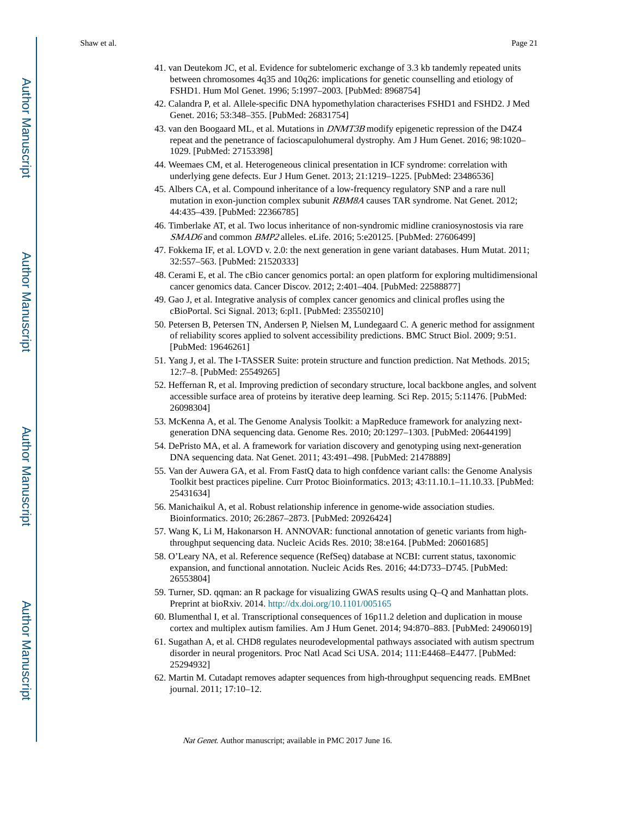- 41. van Deutekom JC, et al. Evidence for subtelomeric exchange of 3.3 kb tandemly repeated units between chromosomes 4q35 and 10q26: implications for genetic counselling and etiology of FSHD1. Hum Mol Genet. 1996; 5:1997–2003. [PubMed: 8968754]
- 42. Calandra P, et al. Allele-specific DNA hypomethylation characterises FSHD1 and FSHD2. J Med Genet. 2016; 53:348–355. [PubMed: 26831754]
- 43. van den Boogaard ML, et al. Mutations in *DNMT3B* modify epigenetic repression of the D4Z4 repeat and the penetrance of facioscapulohumeral dystrophy. Am J Hum Genet. 2016; 98:1020– 1029. [PubMed: 27153398]
- 44. Weemaes CM, et al. Heterogeneous clinical presentation in ICF syndrome: correlation with underlying gene defects. Eur J Hum Genet. 2013; 21:1219–1225. [PubMed: 23486536]
- 45. Albers CA, et al. Compound inheritance of a low-frequency regulatory SNP and a rare null mutation in exon-junction complex subunit RBM8A causes TAR syndrome. Nat Genet. 2012; 44:435–439. [PubMed: 22366785]
- 46. Timberlake AT, et al. Two locus inheritance of non-syndromic midline craniosynostosis via rare SMAD6 and common BMP2 alleles. eLife. 2016; 5:e20125. [PubMed: 27606499]
- 47. Fokkema IF, et al. LOVD v. 2.0: the next generation in gene variant databases. Hum Mutat. 2011; 32:557–563. [PubMed: 21520333]
- 48. Cerami E, et al. The cBio cancer genomics portal: an open platform for exploring multidimensional cancer genomics data. Cancer Discov. 2012; 2:401–404. [PubMed: 22588877]
- 49. Gao J, et al. Integrative analysis of complex cancer genomics and clinical profles using the cBioPortal. Sci Signal. 2013; 6:pl1. [PubMed: 23550210]
- 50. Petersen B, Petersen TN, Andersen P, Nielsen M, Lundegaard C. A generic method for assignment of reliability scores applied to solvent accessibility predictions. BMC Struct Biol. 2009; 9:51. [PubMed: 19646261]
- 51. Yang J, et al. The I-TASSER Suite: protein structure and function prediction. Nat Methods. 2015; 12:7–8. [PubMed: 25549265]
- 52. Heffernan R, et al. Improving prediction of secondary structure, local backbone angles, and solvent accessible surface area of proteins by iterative deep learning. Sci Rep. 2015; 5:11476. [PubMed: 26098304]
- 53. McKenna A, et al. The Genome Analysis Toolkit: a MapReduce framework for analyzing nextgeneration DNA sequencing data. Genome Res. 2010; 20:1297–1303. [PubMed: 20644199]
- 54. DePristo MA, et al. A framework for variation discovery and genotyping using next-generation DNA sequencing data. Nat Genet. 2011; 43:491–498. [PubMed: 21478889]
- 55. Van der Auwera GA, et al. From FastQ data to high confdence variant calls: the Genome Analysis Toolkit best practices pipeline. Curr Protoc Bioinformatics. 2013; 43:11.10.1–11.10.33. [PubMed: 25431634]
- 56. Manichaikul A, et al. Robust relationship inference in genome-wide association studies. Bioinformatics. 2010; 26:2867–2873. [PubMed: 20926424]
- 57. Wang K, Li M, Hakonarson H. ANNOVAR: functional annotation of genetic variants from highthroughput sequencing data. Nucleic Acids Res. 2010; 38:e164. [PubMed: 20601685]
- 58. O'Leary NA, et al. Reference sequence (RefSeq) database at NCBI: current status, taxonomic expansion, and functional annotation. Nucleic Acids Res. 2016; 44:D733–D745. [PubMed: 26553804]
- 59. Turner, SD. qqman: an R package for visualizing GWAS results using Q–Q and Manhattan plots. Preprint at bioRxiv. 2014.<http://dx.doi.org/10.1101/005165>
- 60. Blumenthal I, et al. Transcriptional consequences of 16p11.2 deletion and duplication in mouse cortex and multiplex autism families. Am J Hum Genet. 2014; 94:870–883. [PubMed: 24906019]
- 61. Sugathan A, et al. CHD8 regulates neurodevelopmental pathways associated with autism spectrum disorder in neural progenitors. Proc Natl Acad Sci USA. 2014; 111:E4468–E4477. [PubMed: 25294932]
- 62. Martin M. Cutadapt removes adapter sequences from high-throughput sequencing reads. EMBnet journal. 2011; 17:10–12.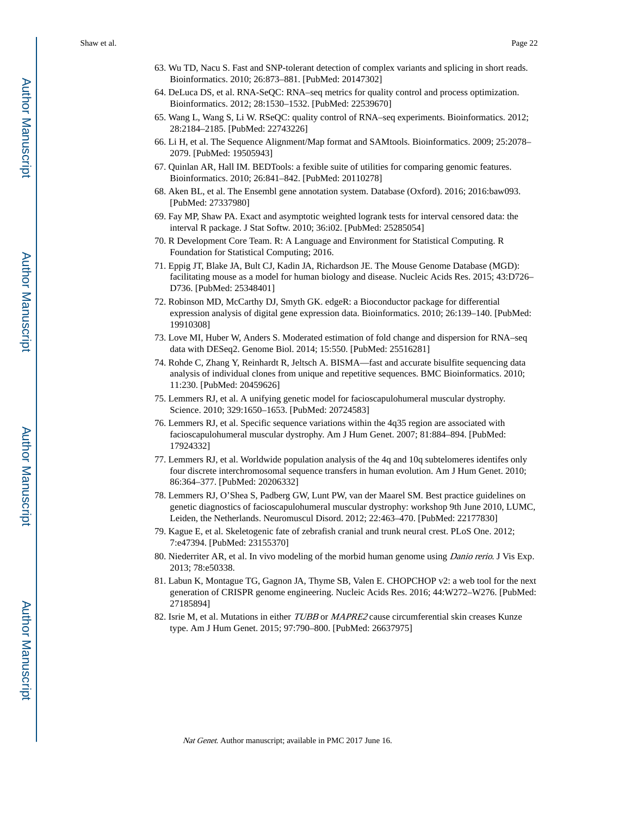- 63. Wu TD, Nacu S. Fast and SNP-tolerant detection of complex variants and splicing in short reads. Bioinformatics. 2010; 26:873–881. [PubMed: 20147302]
- 64. DeLuca DS, et al. RNA-SeQC: RNA–seq metrics for quality control and process optimization. Bioinformatics. 2012; 28:1530–1532. [PubMed: 22539670]
- 65. Wang L, Wang S, Li W. RSeQC: quality control of RNA–seq experiments. Bioinformatics. 2012; 28:2184–2185. [PubMed: 22743226]
- 66. Li H, et al. The Sequence Alignment/Map format and SAMtools. Bioinformatics. 2009; 25:2078– 2079. [PubMed: 19505943]
- 67. Quinlan AR, Hall IM. BEDTools: a fexible suite of utilities for comparing genomic features. Bioinformatics. 2010; 26:841–842. [PubMed: 20110278]
- 68. Aken BL, et al. The Ensembl gene annotation system. Database (Oxford). 2016; 2016:baw093. [PubMed: 27337980]
- 69. Fay MP, Shaw PA. Exact and asymptotic weighted logrank tests for interval censored data: the interval R package. J Stat Softw. 2010; 36:i02. [PubMed: 25285054]
- 70. R Development Core Team. R: A Language and Environment for Statistical Computing. R Foundation for Statistical Computing; 2016.
- 71. Eppig JT, Blake JA, Bult CJ, Kadin JA, Richardson JE. The Mouse Genome Database (MGD): facilitating mouse as a model for human biology and disease. Nucleic Acids Res. 2015; 43:D726– D736. [PubMed: 25348401]
- 72. Robinson MD, McCarthy DJ, Smyth GK. edgeR: a Bioconductor package for differential expression analysis of digital gene expression data. Bioinformatics. 2010; 26:139–140. [PubMed: 19910308]
- 73. Love MI, Huber W, Anders S. Moderated estimation of fold change and dispersion for RNA–seq data with DESeq2. Genome Biol. 2014; 15:550. [PubMed: 25516281]
- 74. Rohde C, Zhang Y, Reinhardt R, Jeltsch A. BISMA—fast and accurate bisulfite sequencing data analysis of individual clones from unique and repetitive sequences. BMC Bioinformatics. 2010; 11:230. [PubMed: 20459626]
- 75. Lemmers RJ, et al. A unifying genetic model for facioscapulohumeral muscular dystrophy. Science. 2010; 329:1650–1653. [PubMed: 20724583]
- 76. Lemmers RJ, et al. Specific sequence variations within the 4q35 region are associated with facioscapulohumeral muscular dystrophy. Am J Hum Genet. 2007; 81:884–894. [PubMed: 17924332]
- 77. Lemmers RJ, et al. Worldwide population analysis of the 4q and 10q subtelomeres identifes only four discrete interchromosomal sequence transfers in human evolution. Am J Hum Genet. 2010; 86:364–377. [PubMed: 20206332]
- 78. Lemmers RJ, O'Shea S, Padberg GW, Lunt PW, van der Maarel SM. Best practice guidelines on genetic diagnostics of facioscapulohumeral muscular dystrophy: workshop 9th June 2010, LUMC, Leiden, the Netherlands. Neuromuscul Disord. 2012; 22:463–470. [PubMed: 22177830]
- 79. Kague E, et al. Skeletogenic fate of zebrafish cranial and trunk neural crest. PLoS One. 2012; 7:e47394. [PubMed: 23155370]
- 80. Niederriter AR, et al. In vivo modeling of the morbid human genome using Danio rerio. J Vis Exp. 2013; 78:e50338.
- 81. Labun K, Montague TG, Gagnon JA, Thyme SB, Valen E. CHOPCHOP v2: a web tool for the next generation of CRISPR genome engineering. Nucleic Acids Res. 2016; 44:W272–W276. [PubMed: 27185894]
- 82. Isrie M, et al. Mutations in either TUBB or MAPRE2 cause circumferential skin creases Kunze type. Am J Hum Genet. 2015; 97:790–800. [PubMed: 26637975]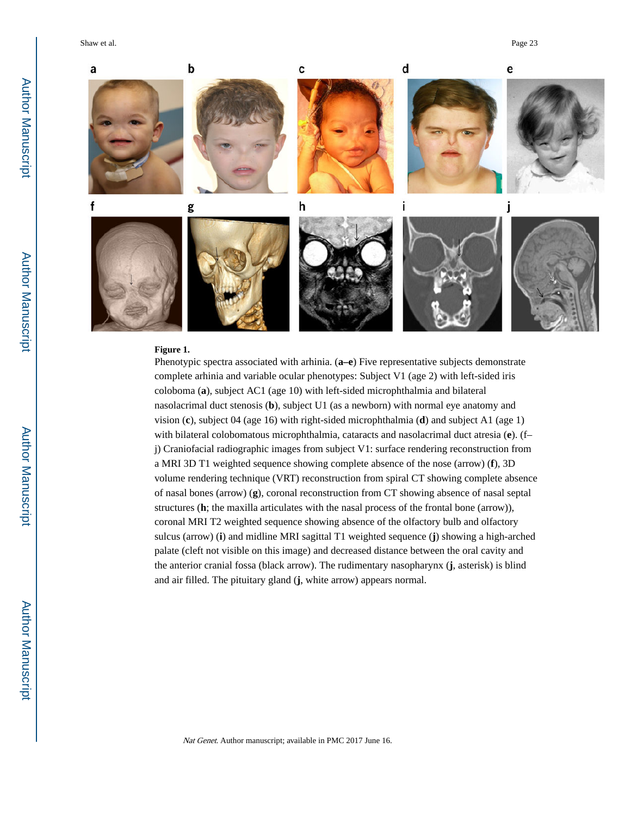Shaw et al. Page 23



## **Figure 1.**

Phenotypic spectra associated with arhinia. (**a–e**) Five representative subjects demonstrate complete arhinia and variable ocular phenotypes: Subject V1 (age 2) with left-sided iris coloboma (**a**), subject AC1 (age 10) with left-sided microphthalmia and bilateral nasolacrimal duct stenosis (**b**), subject U1 (as a newborn) with normal eye anatomy and vision (**c**), subject 04 (age 16) with right-sided microphthalmia (**d**) and subject A1 (age 1) with bilateral colobomatous microphthalmia, cataracts and nasolacrimal duct atresia (**e**). (f– j) Craniofacial radiographic images from subject V1: surface rendering reconstruction from a MRI 3D T1 weighted sequence showing complete absence of the nose (arrow) (**f**), 3D volume rendering technique (VRT) reconstruction from spiral CT showing complete absence of nasal bones (arrow) (**g**), coronal reconstruction from CT showing absence of nasal septal structures (**h**; the maxilla articulates with the nasal process of the frontal bone (arrow)), coronal MRI T2 weighted sequence showing absence of the olfactory bulb and olfactory sulcus (arrow) (**i**) and midline MRI sagittal T1 weighted sequence (**j**) showing a high-arched palate (cleft not visible on this image) and decreased distance between the oral cavity and the anterior cranial fossa (black arrow). The rudimentary nasopharynx (**j**, asterisk) is blind and air filled. The pituitary gland (**j**, white arrow) appears normal.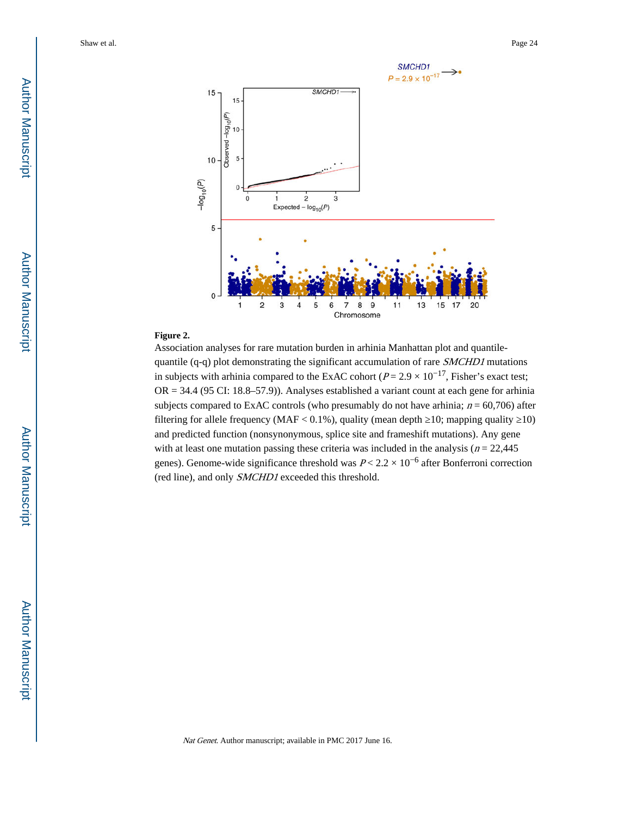

## **Figure 2.**

Association analyses for rare mutation burden in arhinia Manhattan plot and quantilequantile (q-q) plot demonstrating the significant accumulation of rare SMCHD1 mutations in subjects with arhinia compared to the ExAC cohort ( $P = 2.9 \times 10^{-17}$ , Fisher's exact test;  $OR = 34.4$  (95 CI: 18.8–57.9)). Analyses established a variant count at each gene for arhinia subjects compared to ExAC controls (who presumably do not have arhinia;  $n = 60,706$ ) after filtering for allele frequency (MAF <  $0.1\%$ ), quality (mean depth  $10$ ; mapping quality  $10$ ) and predicted function (nonsynonymous, splice site and frameshift mutations). Any gene with at least one mutation passing these criteria was included in the analysis ( $n = 22,445$ ) genes). Genome-wide significance threshold was  $P < 2.2 \times 10^{-6}$  after Bonferroni correction (red line), and only SMCHD1 exceeded this threshold.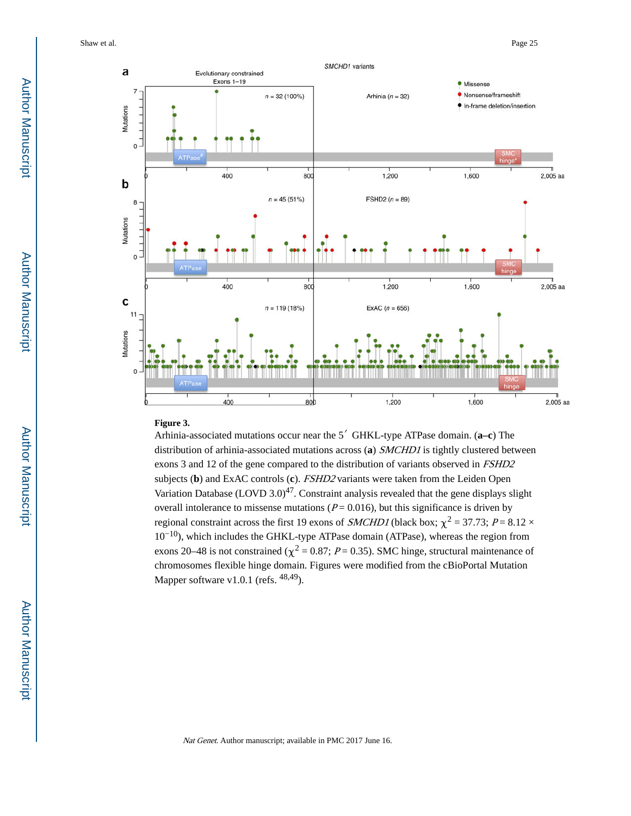Shaw et al. Page 25



#### **Figure 3.**

Arhinia-associated mutations occur near the 5′ GHKL-type ATPase domain. (**a–c**) The distribution of arhinia-associated mutations across (**a**) SMCHD1 is tightly clustered between exons 3 and 12 of the gene compared to the distribution of variants observed in FSHD2 subjects (**b**) and ExAC controls (**c**). FSHD2 variants were taken from the Leiden Open Variation Database  $(LOVD 3.0)^{47}$ . Constraint analysis revealed that the gene displays slight overall intolerance to missense mutations ( $P = 0.016$ ), but this significance is driven by regional constraint across the first 19 exons of *SMCHD1* (black box;  $\chi^2 = 37.73$ ;  $P = 8.12 \times$ 10−10), which includes the GHKL-type ATPase domain (ATPase), whereas the region from exons 20–48 is not constrained ( $\chi^2$  = 0.87; P = 0.35). SMC hinge, structural maintenance of chromosomes flexible hinge domain. Figures were modified from the cBioPortal Mutation Mapper software v1.0.1 (refs.  $48,49$ ).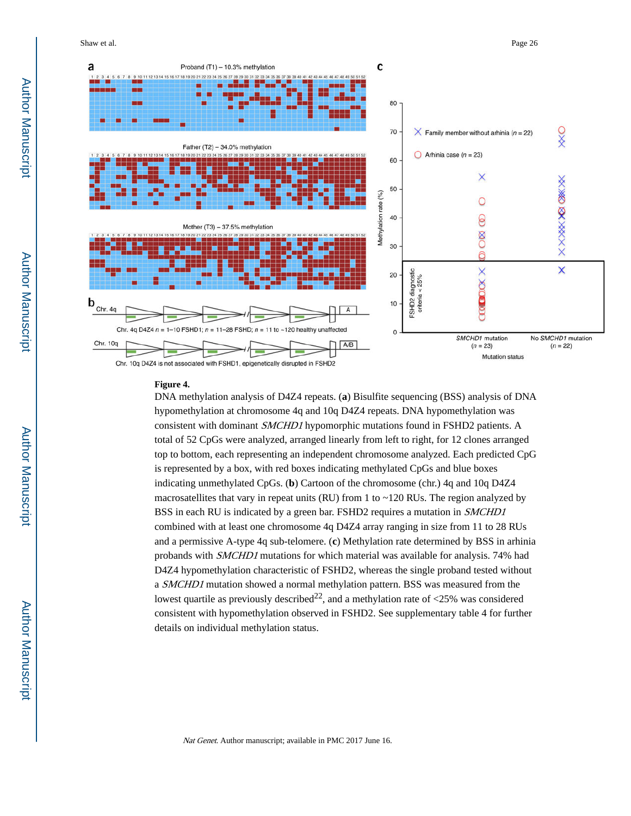Shaw et al. Page 26



#### **Figure 4.**

DNA methylation analysis of D4Z4 repeats. (**a**) Bisulfite sequencing (BSS) analysis of DNA hypomethylation at chromosome 4q and 10q D4Z4 repeats. DNA hypomethylation was consistent with dominant SMCHD1 hypomorphic mutations found in FSHD2 patients. A total of 52 CpGs were analyzed, arranged linearly from left to right, for 12 clones arranged top to bottom, each representing an independent chromosome analyzed. Each predicted CpG is represented by a box, with red boxes indicating methylated CpGs and blue boxes indicating unmethylated CpGs. (**b**) Cartoon of the chromosome (chr.) 4q and 10q D4Z4 macrosatellites that vary in repeat units (RU) from 1 to ~120 RUs. The region analyzed by BSS in each RU is indicated by a green bar. FSHD2 requires a mutation in SMCHD1 combined with at least one chromosome 4q D4Z4 array ranging in size from 11 to 28 RUs and a permissive A-type 4q sub-telomere. (**c**) Methylation rate determined by BSS in arhinia probands with SMCHD1 mutations for which material was available for analysis. 74% had D4Z4 hypomethylation characteristic of FSHD2, whereas the single proband tested without a SMCHD1 mutation showed a normal methylation pattern. BSS was measured from the lowest quartile as previously described<sup>22</sup>, and a methylation rate of  $\langle 25\%$  was considered consistent with hypomethylation observed in FSHD2. See supplementary table 4 for further details on individual methylation status.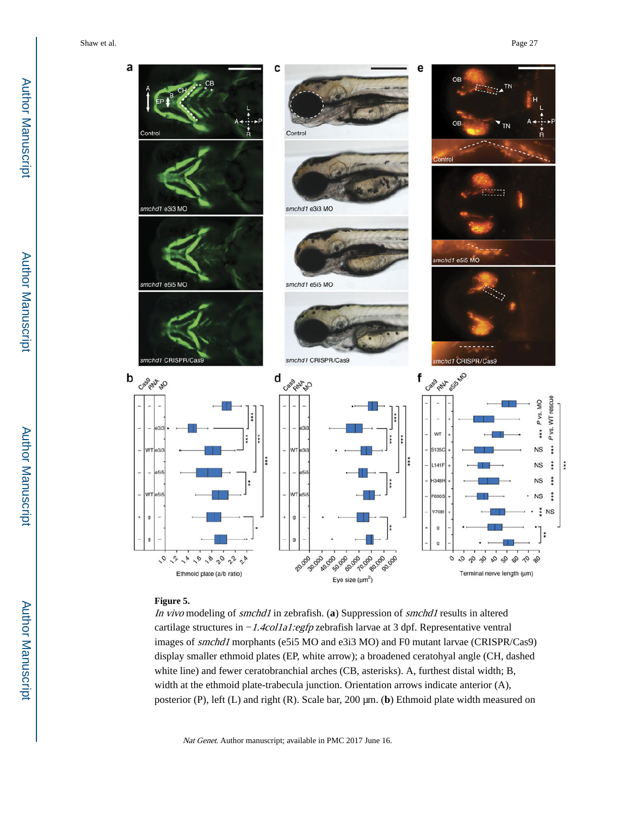Shaw et al. Page 27



## **Figure 5.**

In vivo modeling of smchd1 in zebrafish. (**a**) Suppression of smchd1 results in altered cartilage structures in −1.4col1a1:egfp zebrafish larvae at 3 dpf. Representative ventral images of smchd1 morphants (e5i5 MO and e3i3 MO) and F0 mutant larvae (CRISPR/Cas9) display smaller ethmoid plates (EP, white arrow); a broadened ceratohyal angle (CH, dashed white line) and fewer ceratobranchial arches (CB, asterisks). A, furthest distal width; B, width at the ethmoid plate-trabecula junction. Orientation arrows indicate anterior (A), posterior (P), left (L) and right (R). Scale bar, 200 μm. (**b**) Ethmoid plate width measured on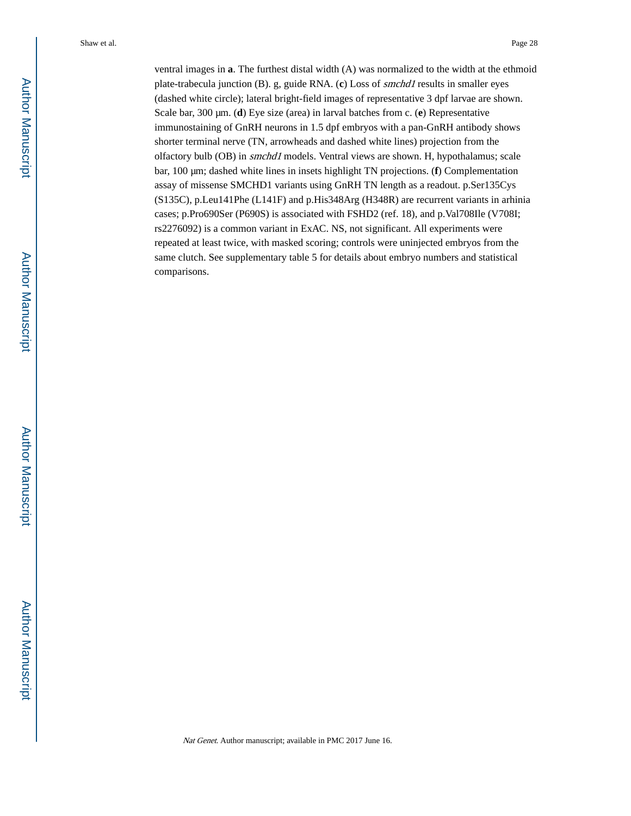ventral images in **a**. The furthest distal width (A) was normalized to the width at the ethmoid plate-trabecula junction (B). g, guide RNA. (**c**) Loss of smchd1 results in smaller eyes (dashed white circle); lateral bright-field images of representative 3 dpf larvae are shown. Scale bar, 300 μm. (**d**) Eye size (area) in larval batches from c. (**e**) Representative immunostaining of GnRH neurons in 1.5 dpf embryos with a pan-GnRH antibody shows shorter terminal nerve (TN, arrowheads and dashed white lines) projection from the olfactory bulb (OB) in smchd1 models. Ventral views are shown. H, hypothalamus; scale bar, 100 μm; dashed white lines in insets highlight TN projections. (**f**) Complementation assay of missense SMCHD1 variants using GnRH TN length as a readout. p.Ser135Cys (S135C), p.Leu141Phe (L141F) and p.His348Arg (H348R) are recurrent variants in arhinia cases; p.Pro690Ser (P690S) is associated with FSHD2 (ref. 18), and p.Val708Ile (V708I; rs2276092) is a common variant in ExAC. NS, not significant. All experiments were repeated at least twice, with masked scoring; controls were uninjected embryos from the same clutch. See supplementary table 5 for details about embryo numbers and statistical comparisons.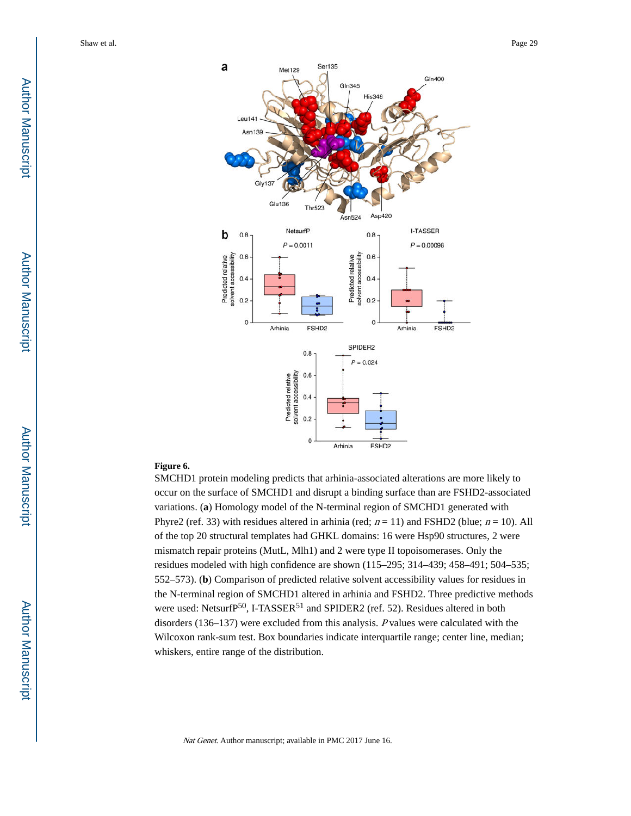

## **Figure 6.**

SMCHD1 protein modeling predicts that arhinia-associated alterations are more likely to occur on the surface of SMCHD1 and disrupt a binding surface than are FSHD2-associated variations. (**a**) Homology model of the N-terminal region of SMCHD1 generated with Phyre2 (ref. 33) with residues altered in arhinia (red;  $n = 11$ ) and FSHD2 (blue;  $n = 10$ ). All of the top 20 structural templates had GHKL domains: 16 were Hsp90 structures, 2 were mismatch repair proteins (MutL, Mlh1) and 2 were type II topoisomerases. Only the residues modeled with high confidence are shown (115–295; 314–439; 458–491; 504–535; 552–573). (**b**) Comparison of predicted relative solvent accessibility values for residues in the N-terminal region of SMCHD1 altered in arhinia and FSHD2. Three predictive methods were used: NetsurfP<sup>50</sup>, I-TASSER<sup>51</sup> and SPIDER2 (ref. 52). Residues altered in both disorders (136–137) were excluded from this analysis. P values were calculated with the Wilcoxon rank-sum test. Box boundaries indicate interquartile range; center line, median; whiskers, entire range of the distribution.